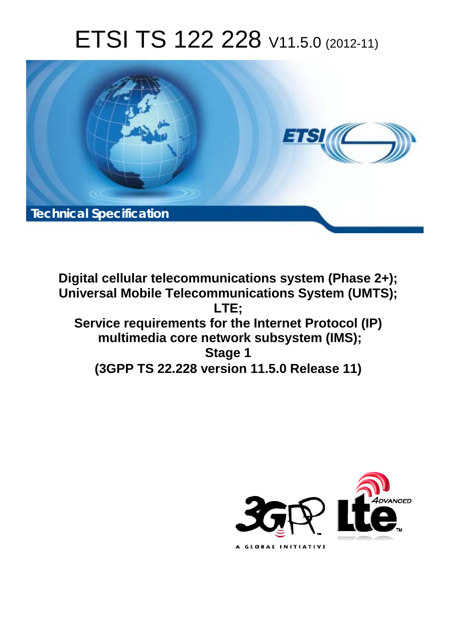# ETSI TS 122 228 V11.5.0 (2012-11)



**Digital cellular telecommunications system (Phase 2+); Universal Mobile Telecommunications System (UMTS); LTE; Service requirements for the Internet Protocol (IP) multimedia core network subsystem (IMS); Stage 1 (3GPP TS 22.228 version 11.5.0 Release 11)** 

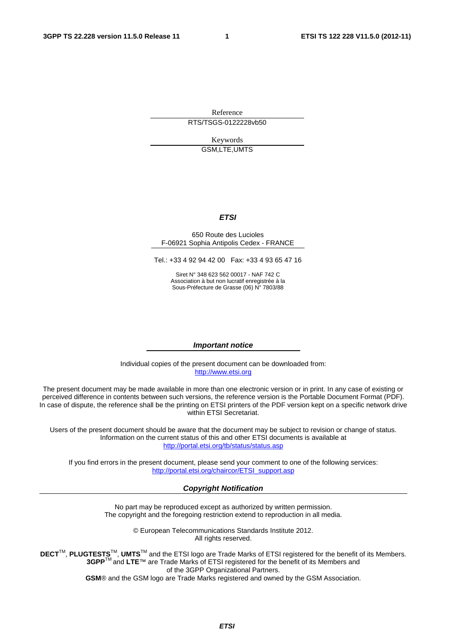Reference RTS/TSGS-0122228vb50

> Keywords GSM,LTE,UMTS

#### *ETSI*

#### 650 Route des Lucioles F-06921 Sophia Antipolis Cedex - FRANCE

Tel.: +33 4 92 94 42 00 Fax: +33 4 93 65 47 16

Siret N° 348 623 562 00017 - NAF 742 C Association à but non lucratif enregistrée à la Sous-Préfecture de Grasse (06) N° 7803/88

#### *Important notice*

Individual copies of the present document can be downloaded from: [http://www.etsi.org](http://www.etsi.org/)

The present document may be made available in more than one electronic version or in print. In any case of existing or perceived difference in contents between such versions, the reference version is the Portable Document Format (PDF). In case of dispute, the reference shall be the printing on ETSI printers of the PDF version kept on a specific network drive within ETSI Secretariat.

Users of the present document should be aware that the document may be subject to revision or change of status. Information on the current status of this and other ETSI documents is available at <http://portal.etsi.org/tb/status/status.asp>

If you find errors in the present document, please send your comment to one of the following services: [http://portal.etsi.org/chaircor/ETSI\\_support.asp](http://portal.etsi.org/chaircor/ETSI_support.asp)

#### *Copyright Notification*

No part may be reproduced except as authorized by written permission. The copyright and the foregoing restriction extend to reproduction in all media.

> © European Telecommunications Standards Institute 2012. All rights reserved.

**DECT**TM, **PLUGTESTS**TM, **UMTS**TM and the ETSI logo are Trade Marks of ETSI registered for the benefit of its Members. **3GPP**TM and **LTE**™ are Trade Marks of ETSI registered for the benefit of its Members and of the 3GPP Organizational Partners.

**GSM**® and the GSM logo are Trade Marks registered and owned by the GSM Association.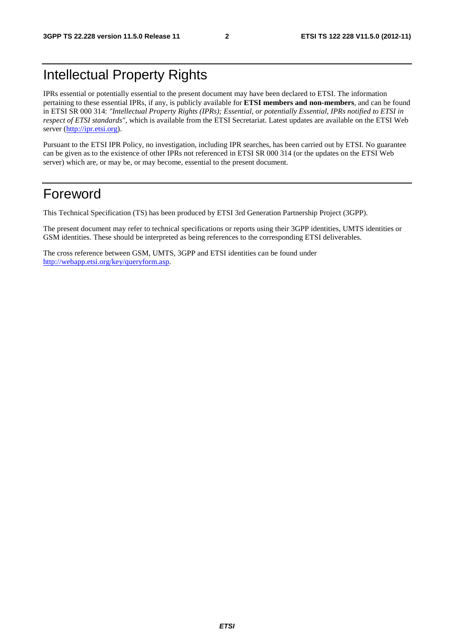## Intellectual Property Rights

IPRs essential or potentially essential to the present document may have been declared to ETSI. The information pertaining to these essential IPRs, if any, is publicly available for **ETSI members and non-members**, and can be found in ETSI SR 000 314: *"Intellectual Property Rights (IPRs); Essential, or potentially Essential, IPRs notified to ETSI in respect of ETSI standards"*, which is available from the ETSI Secretariat. Latest updates are available on the ETSI Web server ([http://ipr.etsi.org\)](http://webapp.etsi.org/IPR/home.asp).

Pursuant to the ETSI IPR Policy, no investigation, including IPR searches, has been carried out by ETSI. No guarantee can be given as to the existence of other IPRs not referenced in ETSI SR 000 314 (or the updates on the ETSI Web server) which are, or may be, or may become, essential to the present document.

### Foreword

This Technical Specification (TS) has been produced by ETSI 3rd Generation Partnership Project (3GPP).

The present document may refer to technical specifications or reports using their 3GPP identities, UMTS identities or GSM identities. These should be interpreted as being references to the corresponding ETSI deliverables.

The cross reference between GSM, UMTS, 3GPP and ETSI identities can be found under [http://webapp.etsi.org/key/queryform.asp.](http://webapp.etsi.org/key/queryform.asp)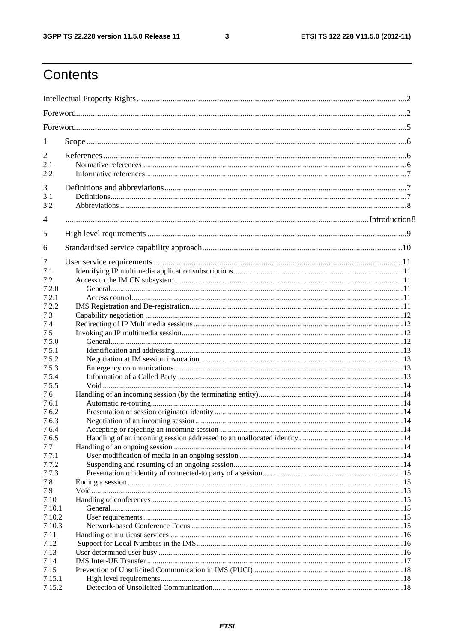$\mathbf{3}$ 

## Contents

| 1                                |  |  |  |  |  |  |  |
|----------------------------------|--|--|--|--|--|--|--|
| $\overline{2}$<br>2.1<br>2.2     |  |  |  |  |  |  |  |
| 3<br>3.1<br>3.2                  |  |  |  |  |  |  |  |
| 4                                |  |  |  |  |  |  |  |
| 5                                |  |  |  |  |  |  |  |
| 6                                |  |  |  |  |  |  |  |
| 7<br>7.1<br>7.2<br>7.2.0         |  |  |  |  |  |  |  |
| 7.2.1<br>7.2.2                   |  |  |  |  |  |  |  |
| 7.3<br>7.4<br>7.5                |  |  |  |  |  |  |  |
| 7.5.0<br>7.5.1<br>7.5.2<br>7.5.3 |  |  |  |  |  |  |  |
| 7.5.4<br>7.5.5                   |  |  |  |  |  |  |  |
| 7.6<br>7.6.1<br>7.6.2            |  |  |  |  |  |  |  |
| 7.6.3<br>7.6.4<br>7.6.5<br>7.7   |  |  |  |  |  |  |  |
| 7.7.1<br>7.7.2<br>7.7.3          |  |  |  |  |  |  |  |
| 7.8<br>7.9<br>7.10               |  |  |  |  |  |  |  |
| 7.10.1<br>7.10.2<br>7.10.3       |  |  |  |  |  |  |  |
| 7.11<br>7.12<br>7.13<br>7.14     |  |  |  |  |  |  |  |
| 7.15<br>7.15.1<br>7.15.2         |  |  |  |  |  |  |  |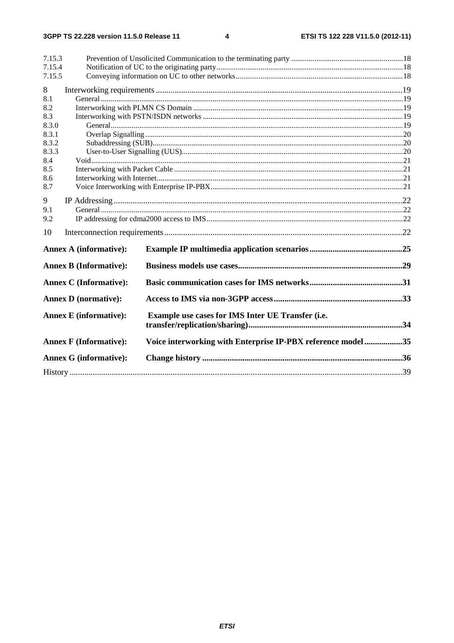#### $\overline{\mathbf{4}}$

| 7.15.3<br>7.15.4<br>7.15.5 |                               |                                                              |  |  |  |  |  |  |  |
|----------------------------|-------------------------------|--------------------------------------------------------------|--|--|--|--|--|--|--|
| 8<br>8.1                   |                               |                                                              |  |  |  |  |  |  |  |
| 8.2                        |                               |                                                              |  |  |  |  |  |  |  |
| 8.3                        |                               |                                                              |  |  |  |  |  |  |  |
| 8.3.0                      |                               |                                                              |  |  |  |  |  |  |  |
| 8.3.1                      |                               |                                                              |  |  |  |  |  |  |  |
| 8.3.2                      |                               |                                                              |  |  |  |  |  |  |  |
| 8.3.3                      |                               |                                                              |  |  |  |  |  |  |  |
| 8.4                        |                               |                                                              |  |  |  |  |  |  |  |
| 8.5                        |                               |                                                              |  |  |  |  |  |  |  |
| 8.6                        |                               |                                                              |  |  |  |  |  |  |  |
| 8.7                        |                               |                                                              |  |  |  |  |  |  |  |
| 9                          |                               |                                                              |  |  |  |  |  |  |  |
| 9.1                        |                               |                                                              |  |  |  |  |  |  |  |
| 9.2                        |                               |                                                              |  |  |  |  |  |  |  |
| 10                         |                               |                                                              |  |  |  |  |  |  |  |
|                            | <b>Annex A (informative):</b> |                                                              |  |  |  |  |  |  |  |
|                            | <b>Annex B (Informative):</b> |                                                              |  |  |  |  |  |  |  |
|                            | <b>Annex C</b> (Informative): |                                                              |  |  |  |  |  |  |  |
|                            | <b>Annex D</b> (normative):   |                                                              |  |  |  |  |  |  |  |
|                            | <b>Annex E</b> (informative): | Example use cases for IMS Inter UE Transfer (i.e.            |  |  |  |  |  |  |  |
|                            | <b>Annex F (Informative):</b> | Voice interworking with Enterprise IP-PBX reference model 35 |  |  |  |  |  |  |  |
|                            | <b>Annex G (informative):</b> |                                                              |  |  |  |  |  |  |  |
|                            |                               |                                                              |  |  |  |  |  |  |  |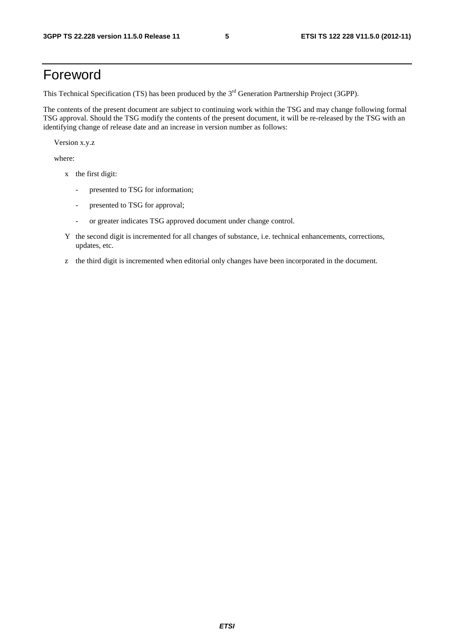### Foreword

This Technical Specification (TS) has been produced by the 3<sup>rd</sup> Generation Partnership Project (3GPP).

The contents of the present document are subject to continuing work within the TSG and may change following formal TSG approval. Should the TSG modify the contents of the present document, it will be re-released by the TSG with an identifying change of release date and an increase in version number as follows:

Version x.y.z

where:

- x the first digit:
	- presented to TSG for information;
	- presented to TSG for approval;
	- or greater indicates TSG approved document under change control.
- Y the second digit is incremented for all changes of substance, i.e. technical enhancements, corrections, updates, etc.
- z the third digit is incremented when editorial only changes have been incorporated in the document.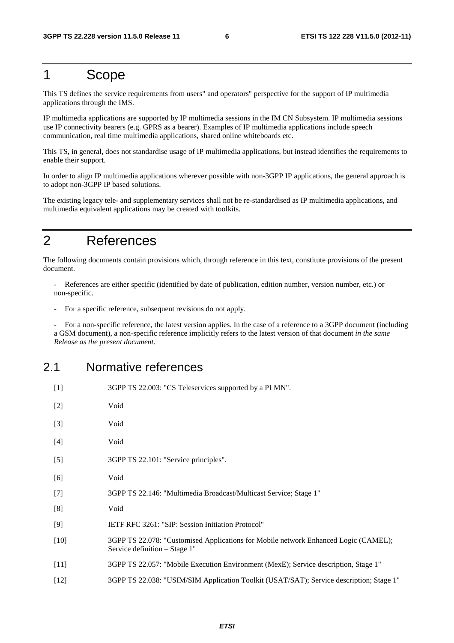### 1 Scope

This TS defines the service requirements from users" and operators" perspective for the support of IP multimedia applications through the IMS.

IP multimedia applications are supported by IP multimedia sessions in the IM CN Subsystem. IP multimedia sessions use IP connectivity bearers (e.g. GPRS as a bearer). Examples of IP multimedia applications include speech communication, real time multimedia applications, shared online whiteboards etc.

This TS, in general, does not standardise usage of IP multimedia applications, but instead identifies the requirements to enable their support.

In order to align IP multimedia applications wherever possible with non-3GPP IP applications, the general approach is to adopt non-3GPP IP based solutions.

The existing legacy tele- and supplementary services shall not be re-standardised as IP multimedia applications, and multimedia equivalent applications may be created with toolkits.

### 2 References

The following documents contain provisions which, through reference in this text, constitute provisions of the present document.

- References are either specific (identified by date of publication, edition number, version number, etc.) or non-specific.

For a specific reference, subsequent revisions do not apply.

- For a non-specific reference, the latest version applies. In the case of a reference to a 3GPP document (including a GSM document), a non-specific reference implicitly refers to the latest version of that document *in the same Release as the present document*.

#### 2.1 Normative references

| $[1]$  | 3GPP TS 22.003: "CS Teleservices supported by a PLMN".                                                               |
|--------|----------------------------------------------------------------------------------------------------------------------|
| $[2]$  | Void                                                                                                                 |
| $[3]$  | Void                                                                                                                 |
| $[4]$  | Void                                                                                                                 |
| $[5]$  | 3GPP TS 22.101: "Service principles".                                                                                |
| [6]    | Void                                                                                                                 |
| $[7]$  | 3GPP TS 22.146: "Multimedia Broadcast/Multicast Service; Stage 1"                                                    |
| [8]    | Void                                                                                                                 |
| [9]    | IETF RFC 3261: "SIP: Session Initiation Protocol"                                                                    |
| $[10]$ | 3GPP TS 22.078: "Customised Applications for Mobile network Enhanced Logic (CAMEL);<br>Service definition – Stage 1" |
| $[11]$ | 3GPP TS 22.057: "Mobile Execution Environment (MexE); Service description, Stage 1"                                  |
| $[12]$ | 3GPP TS 22.038: "USIM/SIM Application Toolkit (USAT/SAT); Service description; Stage 1"                              |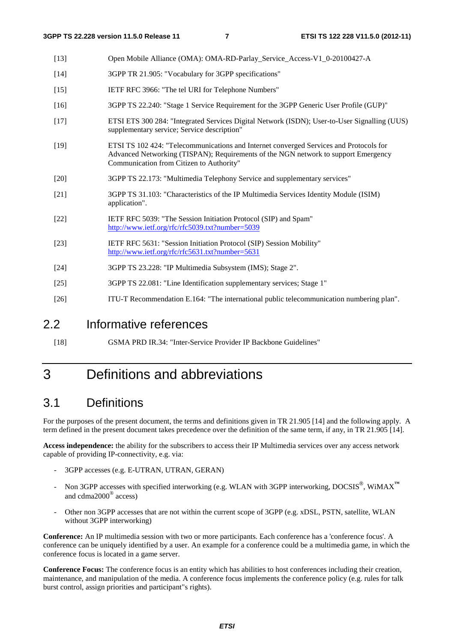- [13] Open Mobile Alliance (OMA): OMA-RD-Parlay\_Service\_Access-V1\_0-20100427-A
- [14] 3GPP TR 21.905: "Vocabulary for 3GPP specifications"
- [15] IETF RFC 3966: "The tel URI for Telephone Numbers"
- [16] 3GPP TS 22.240: "Stage 1 Service Requirement for the 3GPP Generic User Profile (GUP)"
- [17] ETSI ETS 300 284: "Integrated Services Digital Network (ISDN); User-to-User Signalling (UUS) supplementary service; Service description"
- [19] ETSI TS 102 424: "Telecommunications and Internet converged Services and Protocols for Advanced Networking (TISPAN); Requirements of the NGN network to support Emergency Communication from Citizen to Authority"
- [20] 3GPP TS 22.173: "Multimedia Telephony Service and supplementary services"
- [21] 3GPP TS 31.103: "Characteristics of the IP Multimedia Services Identity Module (ISIM) application".
- [22] IETF RFC 5039: "The Session Initiation Protocol (SIP) and Spam" <http://www.ietf.org/rfc/rfc5039.txt?number=5039>
- [23] IETF RFC 5631: "Session Initiation Protocol (SIP) Session Mobility" <http://www.ietf.org/rfc/rfc5631.txt?number=5631>
- [24] 3GPP TS 23.228: "IP Multimedia Subsystem (IMS); Stage 2".
- [25] 3GPP TS 22.081: "Line Identification supplementary services; Stage 1"
- [26] ITU-T Recommendation E.164: "The international public telecommunication numbering plan".

#### 2.2 Informative references

[18] GSMA PRD IR.34: "Inter-Service Provider IP Backbone Guidelines"

### 3 Definitions and abbreviations

#### 3.1 Definitions

For the purposes of the present document, the terms and definitions given in TR 21.905 [14] and the following apply. A term defined in the present document takes precedence over the definition of the same term, if any, in TR 21.905 [14].

**Access independence:** the ability for the subscribers to access their IP Multimedia services over any access network capable of providing IP-connectivity, e.g. via:

- 3GPP accesses (e.g. E-UTRAN, UTRAN, GERAN)
- Non 3GPP accesses with specified interworking (e.g. WLAN with 3GPP interworking, DOCSIS<sup>®</sup>, WiMAX<sup>™</sup> and cdma2000® access)
- Other non 3GPP accesses that are not within the current scope of 3GPP (e.g. xDSL, PSTN, satellite, WLAN without 3GPP interworking)

**Conference:** An IP multimedia session with two or more participants. Each conference has a 'conference focus'. A conference can be uniquely identified by a user. An example for a conference could be a multimedia game, in which the conference focus is located in a game server.

**Conference Focus:** The conference focus is an entity which has abilities to host conferences including their creation, maintenance, and manipulation of the media. A conference focus implements the conference policy (e.g. rules for talk burst control, assign priorities and participant"s rights).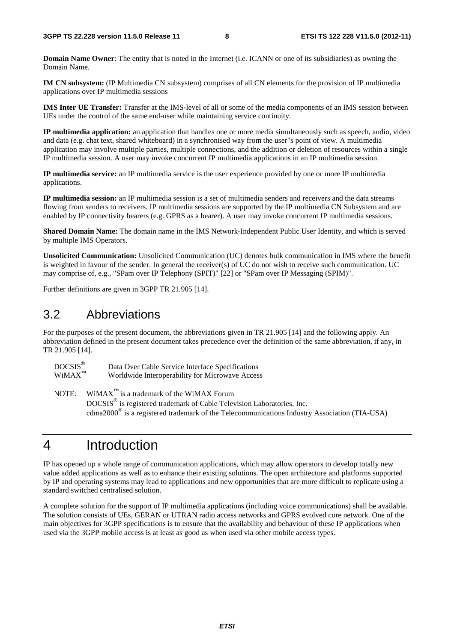**Domain Name Owner**: The entity that is noted in the Internet (i.e. ICANN or one of its subsidiaries) as owning the Domain Name.

**IM CN subsystem:** (IP Multimedia CN subsystem) comprises of all CN elements for the provision of IP multimedia applications over IP multimedia sessions

**IMS Inter UE Transfer:** Transfer at the IMS-level of all or some of the media components of an IMS session between UEs under the control of the same end-user while maintaining service continuity.

**IP multimedia application:** an application that handles one or more media simultaneously such as speech, audio, video and data (e.g. chat text, shared whiteboard) in a synchronised way from the user"s point of view. A multimedia application may involve multiple parties, multiple connections, and the addition or deletion of resources within a single IP multimedia session. A user may invoke concurrent IP multimedia applications in an IP multimedia session.

**IP multimedia service:** an IP multimedia service is the user experience provided by one or more IP multimedia applications.

**IP multimedia session:** an IP multimedia session is a set of multimedia senders and receivers and the data streams flowing from senders to receivers. IP multimedia sessions are supported by the IP multimedia CN Subsystem and are enabled by IP connectivity bearers (e.g. GPRS as a bearer). A user may invoke concurrent IP multimedia sessions.

**Shared Domain Name:** The domain name in the IMS Network-Independent Public User Identity, and which is served by multiple IMS Operators.

**Unsolicited Communication:** Unsolicited Communication (UC) denotes bulk communication in IMS where the benefit is weighted in favour of the sender. In general the receiver(s) of UC do not wish to receive such communication. UC may comprise of, e.g., "SPam over IP Telephony (SPIT)" [22] or "SPam over IP Messaging (SPIM)".

Further definitions are given in 3GPP TR 21.905 [14].

#### 3.2 Abbreviations

For the purposes of the present document, the abbreviations given in TR 21.905 [14] and the following apply. An abbreviation defined in the present document takes precedence over the definition of the same abbreviation, if any, in TR 21.905 [14].

| $DOCSIS^@$<br>$WiMAX^{TM}$ | Data Over Cable Service Interface Specifications<br>Worldwide Interoperability for Microwave Access    |
|----------------------------|--------------------------------------------------------------------------------------------------------|
|                            | NOTE: WiMAX $^{\text{TM}}$ is a trademark of the WiMAX Forum                                           |
|                            | DOCSIS <sup>®</sup> is registered trademark of Cable Television Laboratories, Inc.                     |
|                            | cdma $2000^{\circ}$ is a registered trademark of the Telecommunications Industry Association (TIA-USA) |

### 4 Introduction

IP has opened up a whole range of communication applications, which may allow operators to develop totally new value added applications as well as to enhance their existing solutions. The open architecture and platforms supported by IP and operating systems may lead to applications and new opportunities that are more difficult to replicate using a standard switched centralised solution.

A complete solution for the support of IP multimedia applications (including voice communications) shall be available. The solution consists of UEs, GERAN or UTRAN radio access networks and GPRS evolved core network. One of the main objectives for 3GPP specifications is to ensure that the availability and behaviour of these IP applications when used via the 3GPP mobile access is at least as good as when used via other mobile access types.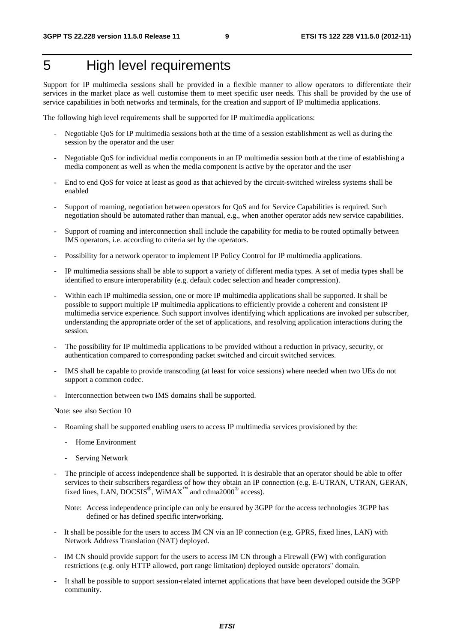## 5 High level requirements

Support for IP multimedia sessions shall be provided in a flexible manner to allow operators to differentiate their services in the market place as well customise them to meet specific user needs. This shall be provided by the use of service capabilities in both networks and terminals, for the creation and support of IP multimedia applications.

The following high level requirements shall be supported for IP multimedia applications:

- Negotiable QoS for IP multimedia sessions both at the time of a session establishment as well as during the session by the operator and the user
- Negotiable QoS for individual media components in an IP multimedia session both at the time of establishing a media component as well as when the media component is active by the operator and the user
- End to end QoS for voice at least as good as that achieved by the circuit-switched wireless systems shall be enabled
- Support of roaming, negotiation between operators for QoS and for Service Capabilities is required. Such negotiation should be automated rather than manual, e.g., when another operator adds new service capabilities.
- Support of roaming and interconnection shall include the capability for media to be routed optimally between IMS operators, i.e. according to criteria set by the operators.
- Possibility for a network operator to implement IP Policy Control for IP multimedia applications.
- IP multimedia sessions shall be able to support a variety of different media types. A set of media types shall be identified to ensure interoperability (e.g. default codec selection and header compression).
- Within each IP multimedia session, one or more IP multimedia applications shall be supported. It shall be possible to support multiple IP multimedia applications to efficiently provide a coherent and consistent IP multimedia service experience. Such support involves identifying which applications are invoked per subscriber, understanding the appropriate order of the set of applications, and resolving application interactions during the session.
- The possibility for IP multimedia applications to be provided without a reduction in privacy, security, or authentication compared to corresponding packet switched and circuit switched services.
- IMS shall be capable to provide transcoding (at least for voice sessions) where needed when two UEs do not support a common codec.
- Interconnection between two IMS domains shall be supported.

Note: see also Section 10

- Roaming shall be supported enabling users to access IP multimedia services provisioned by the:
	- Home Environment
	- Serving Network
- The principle of access independence shall be supported. It is desirable that an operator should be able to offer services to their subscribers regardless of how they obtain an IP connection (e.g. E-UTRAN, UTRAN, GERAN, fixed lines, LAN, DOCSIS®, WiMAX**™** and cdma2000® access).

Note: Access independence principle can only be ensured by 3GPP for the access technologies 3GPP has defined or has defined specific interworking.

- It shall be possible for the users to access IM CN via an IP connection (e.g. GPRS, fixed lines, LAN) with Network Address Translation (NAT) deployed.
- IM CN should provide support for the users to access IM CN through a Firewall (FW) with configuration restrictions (e.g. only HTTP allowed, port range limitation) deployed outside operators" domain.
- It shall be possible to support session-related internet applications that have been developed outside the 3GPP community.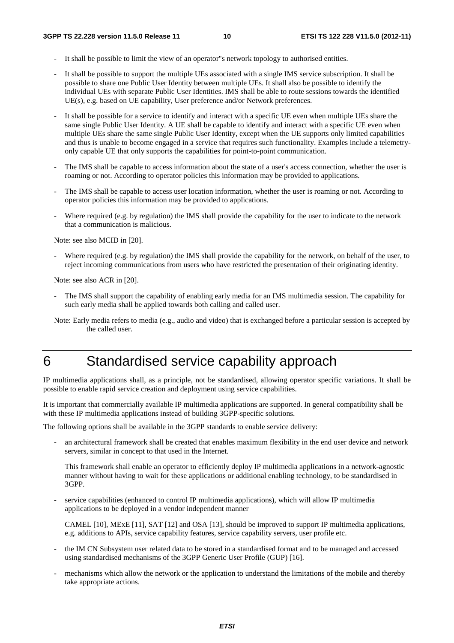- It shall be possible to limit the view of an operator"s network topology to authorised entities.
- It shall be possible to support the multiple UEs associated with a single IMS service subscription. It shall be possible to share one Public User Identity between multiple UEs. It shall also be possible to identify the individual UEs with separate Public User Identities. IMS shall be able to route sessions towards the identified UE(s), e.g. based on UE capability, User preference and/or Network preferences.
- It shall be possible for a service to identify and interact with a specific UE even when multiple UEs share the same single Public User Identity. A UE shall be capable to identify and interact with a specific UE even when multiple UEs share the same single Public User Identity, except when the UE supports only limited capabilities and thus is unable to become engaged in a service that requires such functionality. Examples include a telemetryonly capable UE that only supports the capabilities for point-to-point communication.
- The IMS shall be capable to access information about the state of a user's access connection, whether the user is roaming or not. According to operator policies this information may be provided to applications.
- The IMS shall be capable to access user location information, whether the user is roaming or not. According to operator policies this information may be provided to applications.
- Where required (e.g. by regulation) the IMS shall provide the capability for the user to indicate to the network that a communication is malicious.

Note: see also MCID in [20].

Where required (e.g. by regulation) the IMS shall provide the capability for the network, on behalf of the user, to reject incoming communications from users who have restricted the presentation of their originating identity.

Note: see also ACR in [20].

- The IMS shall support the capability of enabling early media for an IMS multimedia session. The capability for such early media shall be applied towards both calling and called user.
- Note: Early media refers to media (e.g., audio and video) that is exchanged before a particular session is accepted by the called user.

### 6 Standardised service capability approach

IP multimedia applications shall, as a principle, not be standardised, allowing operator specific variations. It shall be possible to enable rapid service creation and deployment using service capabilities.

It is important that commercially available IP multimedia applications are supported. In general compatibility shall be with these IP multimedia applications instead of building 3GPP-specific solutions.

The following options shall be available in the 3GPP standards to enable service delivery:

an architectural framework shall be created that enables maximum flexibility in the end user device and network servers, similar in concept to that used in the Internet.

This framework shall enable an operator to efficiently deploy IP multimedia applications in a network-agnostic manner without having to wait for these applications or additional enabling technology, to be standardised in 3GPP.

service capabilities (enhanced to control IP multimedia applications), which will allow IP multimedia applications to be deployed in a vendor independent manner

CAMEL [10], MExE [11], SAT [12] and OSA [13], should be improved to support IP multimedia applications, e.g. additions to APIs, service capability features, service capability servers, user profile etc.

- the IM CN Subsystem user related data to be stored in a standardised format and to be managed and accessed using standardised mechanisms of the 3GPP Generic User Profile (GUP) [16].
- mechanisms which allow the network or the application to understand the limitations of the mobile and thereby take appropriate actions.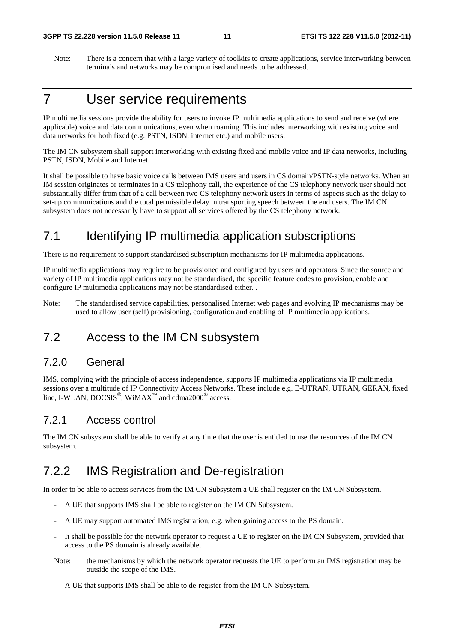Note: There is a concern that with a large variety of toolkits to create applications, service interworking between terminals and networks may be compromised and needs to be addressed.

### 7 User service requirements

IP multimedia sessions provide the ability for users to invoke IP multimedia applications to send and receive (where applicable) voice and data communications, even when roaming. This includes interworking with existing voice and data networks for both fixed (e.g. PSTN, ISDN, internet etc.) and mobile users.

The IM CN subsystem shall support interworking with existing fixed and mobile voice and IP data networks, including PSTN, ISDN, Mobile and Internet.

It shall be possible to have basic voice calls between IMS users and users in CS domain/PSTN-style networks. When an IM session originates or terminates in a CS telephony call, the experience of the CS telephony network user should not substantially differ from that of a call between two CS telephony network users in terms of aspects such as the delay to set-up communications and the total permissible delay in transporting speech between the end users. The IM CN subsystem does not necessarily have to support all services offered by the CS telephony network.

### 7.1 Identifying IP multimedia application subscriptions

There is no requirement to support standardised subscription mechanisms for IP multimedia applications.

IP multimedia applications may require to be provisioned and configured by users and operators. Since the source and variety of IP multimedia applications may not be standardised, the specific feature codes to provision, enable and configure IP multimedia applications may not be standardised either. .

Note: The standardised service capabilities, personalised Internet web pages and evolving IP mechanisms may be used to allow user (self) provisioning, configuration and enabling of IP multimedia applications.

### 7.2 Access to the IM CN subsystem

#### 7.2.0 General

IMS, complying with the principle of access independence, supports IP multimedia applications via IP multimedia sessions over a multitude of IP Connectivity Access Networks. These include e.g. E-UTRAN, UTRAN, GERAN, fixed line, I-WLAN, DOCSIS<sup>®</sup>, WiMAX<sup>™</sup> and cdma2000<sup>®</sup> access.

#### 7.2.1 Access control

The IM CN subsystem shall be able to verify at any time that the user is entitled to use the resources of the IM CN subsystem.

### 7.2.2 IMS Registration and De-registration

In order to be able to access services from the IM CN Subsystem a UE shall register on the IM CN Subsystem.

- A UE that supports IMS shall be able to register on the IM CN Subsystem.
- A UE may support automated IMS registration, e.g. when gaining access to the PS domain.
- It shall be possible for the network operator to request a UE to register on the IM CN Subsystem, provided that access to the PS domain is already available.
- Note: the mechanisms by which the network operator requests the UE to perform an IMS registration may be outside the scope of the IMS.
- A UE that supports IMS shall be able to de-register from the IM CN Subsystem.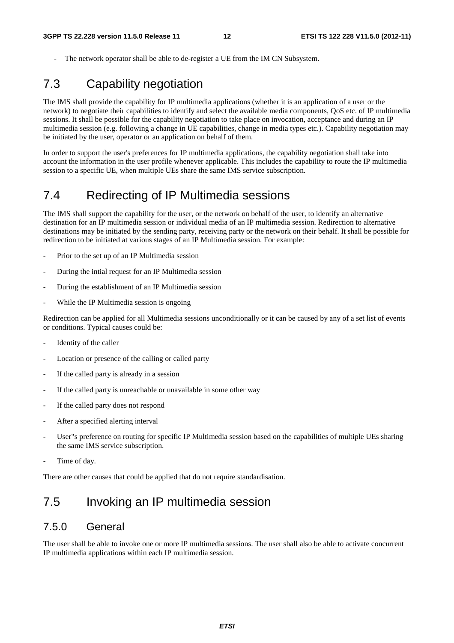The network operator shall be able to de-register a UE from the IM CN Subsystem.

### 7.3 Capability negotiation

The IMS shall provide the capability for IP multimedia applications (whether it is an application of a user or the network) to negotiate their capabilities to identify and select the available media components, QoS etc. of IP multimedia sessions. It shall be possible for the capability negotiation to take place on invocation, acceptance and during an IP multimedia session (e.g. following a change in UE capabilities, change in media types etc.). Capability negotiation may be initiated by the user, operator or an application on behalf of them.

In order to support the user's preferences for IP multimedia applications, the capability negotiation shall take into account the information in the user profile whenever applicable. This includes the capability to route the IP multimedia session to a specific UE, when multiple UEs share the same IMS service subscription.

### 7.4 Redirecting of IP Multimedia sessions

The IMS shall support the capability for the user, or the network on behalf of the user, to identify an alternative destination for an IP multimedia session or individual media of an IP multimedia session. Redirection to alternative destinations may be initiated by the sending party, receiving party or the network on their behalf. It shall be possible for redirection to be initiated at various stages of an IP Multimedia session. For example:

- Prior to the set up of an IP Multimedia session
- During the intial request for an IP Multimedia session
- During the establishment of an IP Multimedia session
- While the IP Multimedia session is ongoing

Redirection can be applied for all Multimedia sessions unconditionally or it can be caused by any of a set list of events or conditions. Typical causes could be:

- Identity of the caller
- Location or presence of the calling or called party
- If the called party is already in a session
- If the called party is unreachable or unavailable in some other way
- If the called party does not respond
- After a specified alerting interval
- User"s preference on routing for specific IP Multimedia session based on the capabilities of multiple UEs sharing the same IMS service subscription.
- Time of day.

There are other causes that could be applied that do not require standardisation.

### 7.5 Invoking an IP multimedia session

#### 7.5.0 General

The user shall be able to invoke one or more IP multimedia sessions. The user shall also be able to activate concurrent IP multimedia applications within each IP multimedia session.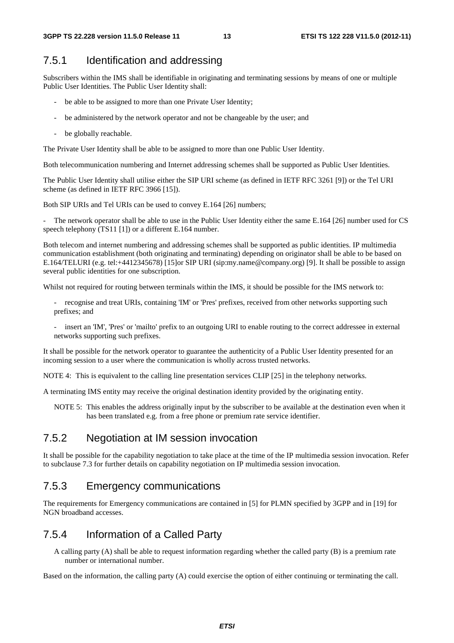#### 7.5.1 Identification and addressing

Subscribers within the IMS shall be identifiable in originating and terminating sessions by means of one or multiple Public User Identities. The Public User Identity shall:

- be able to be assigned to more than one Private User Identity;
- be administered by the network operator and not be changeable by the user; and
- be globally reachable.

The Private User Identity shall be able to be assigned to more than one Public User Identity.

Both telecommunication numbering and Internet addressing schemes shall be supported as Public User Identities.

The Public User Identity shall utilise either the SIP URI scheme (as defined in IETF RFC 3261 [9]) or the Tel URI scheme (as defined in IETF RFC 3966 [15]).

Both SIP URIs and Tel URIs can be used to convey E.164 [26] numbers;

The network operator shall be able to use in the Public User Identity either the same E.164 [26] number used for CS speech telephony (TS11 [1]) or a different E.164 number.

Both telecom and internet numbering and addressing schemes shall be supported as public identities. IP multimedia communication establishment (both originating and terminating) depending on originator shall be able to be based on E.164/TELURI (e.g. tel:+4412345678) [15]or SIP URI (sip:my.name@company.org) [9]. It shall be possible to assign several public identities for one subscription.

Whilst not required for routing between terminals within the IMS, it should be possible for the IMS network to:

- recognise and treat URIs, containing 'IM' or 'Pres' prefixes, received from other networks supporting such prefixes; and
- insert an 'IM', 'Pres' or 'mailto' prefix to an outgoing URI to enable routing to the correct addressee in external networks supporting such prefixes.

It shall be possible for the network operator to guarantee the authenticity of a Public User Identity presented for an incoming session to a user where the communication is wholly across trusted networks.

NOTE 4: This is equivalent to the calling line presentation services CLIP [25] in the telephony networks.

A terminating IMS entity may receive the original destination identity provided by the originating entity.

NOTE 5: This enables the address originally input by the subscriber to be available at the destination even when it has been translated e.g. from a free phone or premium rate service identifier.

#### 7.5.2 Negotiation at IM session invocation

It shall be possible for the capability negotiation to take place at the time of the IP multimedia session invocation. Refer to subclause 7.3 for further details on capability negotiation on IP multimedia session invocation.

#### 7.5.3 Emergency communications

The requirements for Emergency communications are contained in [5] for PLMN specified by 3GPP and in [19] for NGN broadband accesses.

#### 7.5.4 Information of a Called Party

A calling party (A) shall be able to request information regarding whether the called party (B) is a premium rate number or international number.

Based on the information, the calling party (A) could exercise the option of either continuing or terminating the call.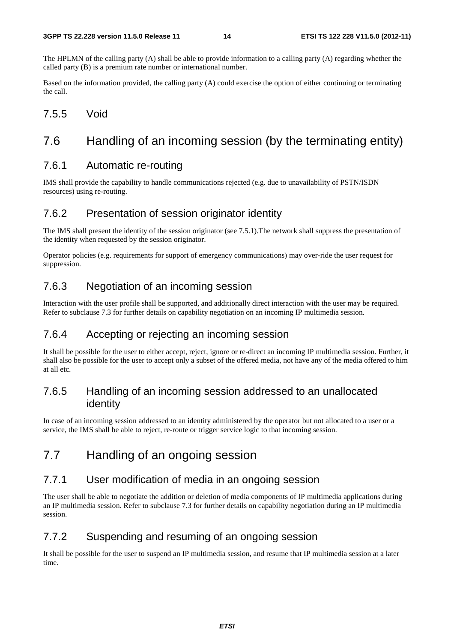The HPLMN of the calling party (A) shall be able to provide information to a calling party (A) regarding whether the called party (B) is a premium rate number or international number.

Based on the information provided, the calling party (A) could exercise the option of either continuing or terminating the call.

7.5.5 Void

### 7.6 Handling of an incoming session (by the terminating entity)

#### 7.6.1 Automatic re-routing

IMS shall provide the capability to handle communications rejected (e.g. due to unavailability of PSTN/ISDN resources) using re-routing.

#### 7.6.2 Presentation of session originator identity

The IMS shall present the identity of the session originator (see 7.5.1).The network shall suppress the presentation of the identity when requested by the session originator.

Operator policies (e.g. requirements for support of emergency communications) may over-ride the user request for suppression.

#### 7.6.3 Negotiation of an incoming session

Interaction with the user profile shall be supported, and additionally direct interaction with the user may be required. Refer to subclause 7.3 for further details on capability negotiation on an incoming IP multimedia session.

#### 7.6.4 Accepting or rejecting an incoming session

It shall be possible for the user to either accept, reject, ignore or re-direct an incoming IP multimedia session. Further, it shall also be possible for the user to accept only a subset of the offered media, not have any of the media offered to him at all etc.

#### 7.6.5 Handling of an incoming session addressed to an unallocated identity

In case of an incoming session addressed to an identity administered by the operator but not allocated to a user or a service, the IMS shall be able to reject, re-route or trigger service logic to that incoming session.

### 7.7 Handling of an ongoing session

#### 7.7.1 User modification of media in an ongoing session

The user shall be able to negotiate the addition or deletion of media components of IP multimedia applications during an IP multimedia session. Refer to subclause 7.3 for further details on capability negotiation during an IP multimedia session.

#### 7.7.2 Suspending and resuming of an ongoing session

It shall be possible for the user to suspend an IP multimedia session, and resume that IP multimedia session at a later time.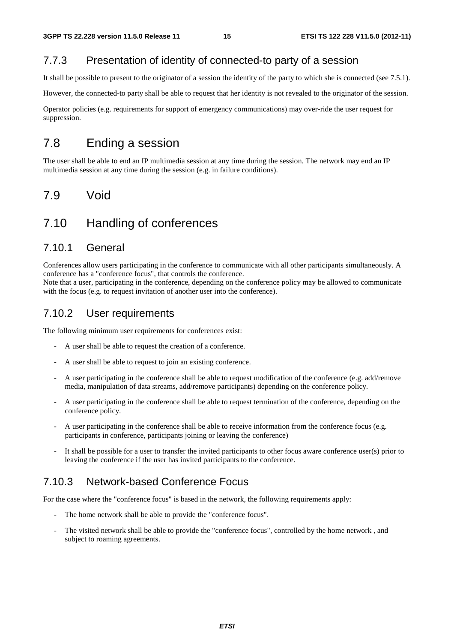#### 7.7.3 Presentation of identity of connected-to party of a session

It shall be possible to present to the originator of a session the identity of the party to which she is connected (see 7.5.1).

However, the connected-to party shall be able to request that her identity is not revealed to the originator of the session.

Operator policies (e.g. requirements for support of emergency communications) may over-ride the user request for suppression.

#### 7.8 Ending a session

The user shall be able to end an IP multimedia session at any time during the session. The network may end an IP multimedia session at any time during the session (e.g. in failure conditions).

### 7.9 Void

### 7.10 Handling of conferences

#### 7.10.1 General

Conferences allow users participating in the conference to communicate with all other participants simultaneously. A conference has a "conference focus", that controls the conference.

Note that a user, participating in the conference, depending on the conference policy may be allowed to communicate with the focus (e.g. to request invitation of another user into the conference).

#### 7.10.2 User requirements

The following minimum user requirements for conferences exist:

- A user shall be able to request the creation of a conference.
- A user shall be able to request to join an existing conference.
- A user participating in the conference shall be able to request modification of the conference (e.g. add/remove media, manipulation of data streams, add/remove participants) depending on the conference policy.
- A user participating in the conference shall be able to request termination of the conference, depending on the conference policy.
- A user participating in the conference shall be able to receive information from the conference focus (e.g. participants in conference, participants joining or leaving the conference)
- It shall be possible for a user to transfer the invited participants to other focus aware conference user(s) prior to leaving the conference if the user has invited participants to the conference.

#### 7.10.3 Network-based Conference Focus

For the case where the "conference focus" is based in the network, the following requirements apply:

- The home network shall be able to provide the "conference focus".
- The visited network shall be able to provide the "conference focus", controlled by the home network, and subject to roaming agreements.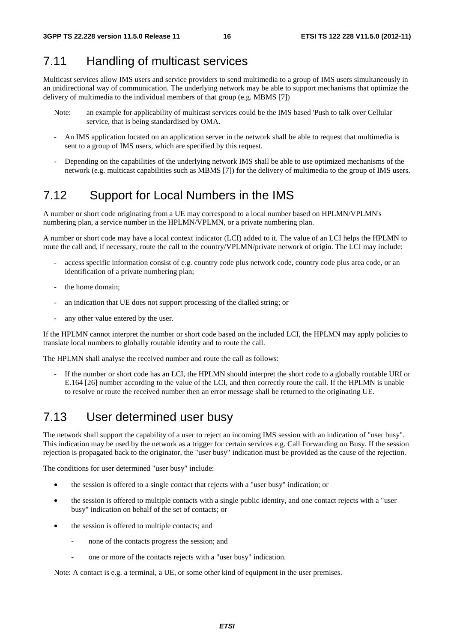### 7.11 Handling of multicast services

Multicast services allow IMS users and service providers to send multimedia to a group of IMS users simultaneously in an unidirectional way of communication. The underlying network may be able to support mechanisms that optimize the delivery of multimedia to the individual members of that group (e.g. MBMS [7])

- Note: an example for applicability of multicast services could be the IMS based 'Push to talk over Cellular' service, that is being standardised by OMA.
- An IMS application located on an application server in the network shall be able to request that multimedia is sent to a group of IMS users, which are specified by this request.
- Depending on the capabilities of the underlying network IMS shall be able to use optimized mechanisms of the network (e.g. multicast capabilities such as MBMS [7]) for the delivery of multimedia to the group of IMS users.

### 7.12 Support for Local Numbers in the IMS

A number or short code originating from a UE may correspond to a local number based on HPLMN/VPLMN's numbering plan, a service number in the HPLMN/VPLMN, or a private numbering plan.

A number or short code may have a local context indicator (LCI) added to it. The value of an LCI helps the HPLMN to route the call and, if necessary, route the call to the country/VPLMN/private network of origin. The LCI may include:

- access specific information consist of e.g. country code plus network code, country code plus area code, or an identification of a private numbering plan;
- the home domain;
- an indication that UE does not support processing of the dialled string; or
- any other value entered by the user.

If the HPLMN cannot interpret the number or short code based on the included LCI, the HPLMN may apply policies to translate local numbers to globally routable identity and to route the call.

The HPLMN shall analyse the received number and route the call as follows:

If the number or short code has an LCI, the HPLMN should interpret the short code to a globally routable URI or E.164 [26] number according to the value of the LCI, and then correctly route the call. If the HPLMN is unable to resolve or route the received number then an error message shall be returned to the originating UE.

### 7.13 User determined user busy

The network shall support the capability of a user to reject an incoming IMS session with an indication of "user busy". This indication may be used by the network as a trigger for certain services e.g. Call Forwarding on Busy. If the session rejection is propagated back to the originator, the "user busy" indication must be provided as the cause of the rejection.

The conditions for user determined "user busy" include:

- the session is offered to a single contact that rejects with a "user busy" indication; or
- the session is offered to multiple contacts with a single public identity, and one contact rejects with a "user busy" indication on behalf of the set of contacts; or
- the session is offered to multiple contacts; and
	- none of the contacts progress the session; and
	- one or more of the contacts rejects with a "user busy" indication.

Note: A contact is e.g. a terminal, a UE, or some other kind of equipment in the user premises.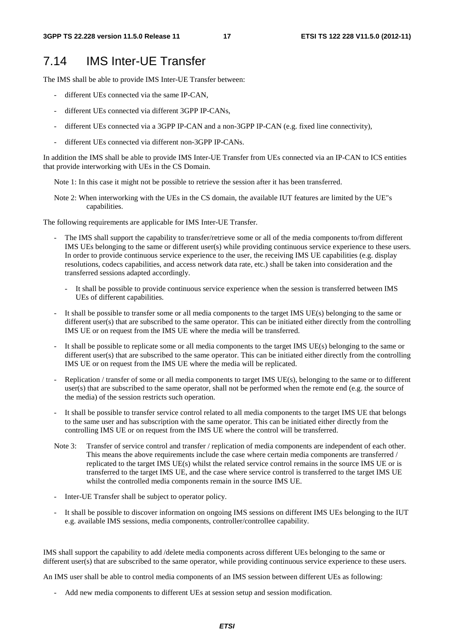#### 7.14 IMS Inter-UE Transfer

The IMS shall be able to provide IMS Inter-UE Transfer between:

- different UEs connected via the same IP-CAN,
- different UEs connected via different 3GPP IP-CANs,
- different UEs connected via a 3GPP IP-CAN and a non-3GPP IP-CAN (e.g. fixed line connectivity),
- different UEs connected via different non-3GPP IP-CANs.

In addition the IMS shall be able to provide IMS Inter-UE Transfer from UEs connected via an IP-CAN to ICS entities that provide interworking with UEs in the CS Domain.

Note 1: In this case it might not be possible to retrieve the session after it has been transferred.

Note 2: When interworking with the UEs in the CS domain, the available IUT features are limited by the UE"s capabilities.

The following requirements are applicable for IMS Inter-UE Transfer.

- The IMS shall support the capability to transfer/retrieve some or all of the media components to/from different IMS UEs belonging to the same or different user(s) while providing continuous service experience to these users. In order to provide continuous service experience to the user, the receiving IMS UE capabilities (e.g. display resolutions, codecs capabilities, and access network data rate, etc.) shall be taken into consideration and the transferred sessions adapted accordingly.
	- It shall be possible to provide continuous service experience when the session is transferred between IMS UEs of different capabilities.
- It shall be possible to transfer some or all media components to the target IMS UE(s) belonging to the same or different user(s) that are subscribed to the same operator. This can be initiated either directly from the controlling IMS UE or on request from the IMS UE where the media will be transferred.
- It shall be possible to replicate some or all media components to the target IMS UE(s) belonging to the same or different user(s) that are subscribed to the same operator. This can be initiated either directly from the controlling IMS UE or on request from the IMS UE where the media will be replicated.
- Replication / transfer of some or all media components to target IMS UE(s), belonging to the same or to different user(s) that are subscribed to the same operator, shall not be performed when the remote end (e.g. the source of the media) of the session restricts such operation.
- It shall be possible to transfer service control related to all media components to the target IMS UE that belongs to the same user and has subscription with the same operator. This can be initiated either directly from the controlling IMS UE or on request from the IMS UE where the control will be transferred.
- Note 3: Transfer of service control and transfer / replication of media components are independent of each other. This means the above requirements include the case where certain media components are transferred / replicated to the target IMS UE(s) whilst the related service control remains in the source IMS UE or is transferred to the target IMS UE, and the case where service control is transferred to the target IMS UE whilst the controlled media components remain in the source IMS UE.
- Inter-UE Transfer shall be subject to operator policy.
- It shall be possible to discover information on ongoing IMS sessions on different IMS UEs belonging to the IUT e.g. available IMS sessions, media components, controller/controllee capability.

IMS shall support the capability to add /delete media components across different UEs belonging to the same or different user(s) that are subscribed to the same operator, while providing continuous service experience to these users.

An IMS user shall be able to control media components of an IMS session between different UEs as following:

- Add new media components to different UEs at session setup and session modification.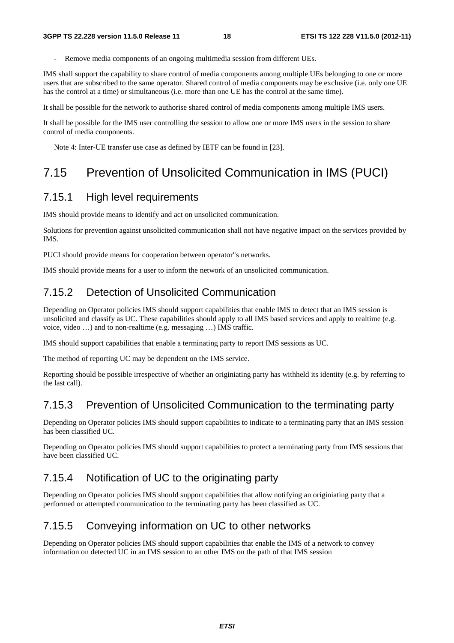Remove media components of an ongoing multimedia session from different UEs.

IMS shall support the capability to share control of media components among multiple UEs belonging to one or more users that are subscribed to the same operator. Shared control of media components may be exclusive (i.e. only one UE has the control at a time) or simultaneous (i.e. more than one UE has the control at the same time).

It shall be possible for the network to authorise shared control of media components among multiple IMS users.

It shall be possible for the IMS user controlling the session to allow one or more IMS users in the session to share control of media components.

Note 4: Inter-UE transfer use case as defined by IETF can be found in [23].

## 7.15 Prevention of Unsolicited Communication in IMS (PUCI)

#### 7.15.1 High level requirements

IMS should provide means to identify and act on unsolicited communication.

Solutions for prevention against unsolicited communication shall not have negative impact on the services provided by IMS.

PUCI should provide means for cooperation between operator"s networks.

IMS should provide means for a user to inform the network of an unsolicited communication.

### 7.15.2 Detection of Unsolicited Communication

Depending on Operator policies IMS should support capabilities that enable IMS to detect that an IMS session is unsolicited and classify as UC. These capabilities should apply to all IMS based services and apply to realtime (e.g. voice, video …) and to non-realtime (e.g. messaging …) IMS traffic.

IMS should support capabilities that enable a terminating party to report IMS sessions as UC.

The method of reporting UC may be dependent on the IMS service.

Reporting should be possible irrespective of whether an originiating party has withheld its identity (e.g. by referring to the last call).

### 7.15.3 Prevention of Unsolicited Communication to the terminating party

Depending on Operator policies IMS should support capabilities to indicate to a terminating party that an IMS session has been classified UC.

Depending on Operator policies IMS should support capabilities to protect a terminating party from IMS sessions that have been classified UC.

#### 7.15.4 Notification of UC to the originating party

Depending on Operator policies IMS should support capabilities that allow notifying an originiating party that a performed or attempted communication to the terminating party has been classified as UC.

### 7.15.5 Conveying information on UC to other networks

Depending on Operator policies IMS should support capabilities that enable the IMS of a network to convey information on detected UC in an IMS session to an other IMS on the path of that IMS session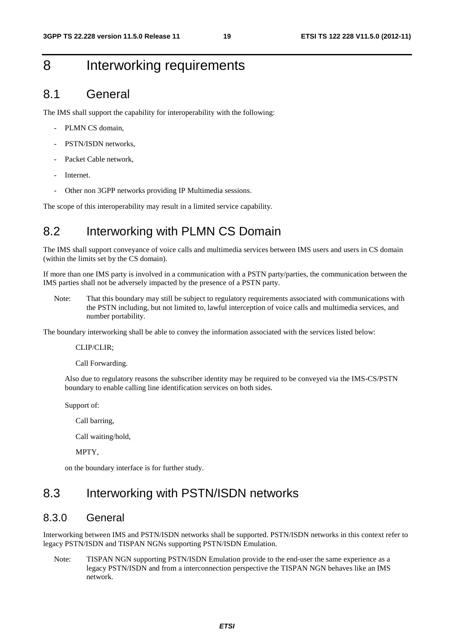## 8 Interworking requirements

### 8.1 General

The IMS shall support the capability for interoperability with the following:

- PLMN CS domain,
- PSTN/ISDN networks.
- Packet Cable network,
- Internet.
- Other non 3GPP networks providing IP Multimedia sessions.

The scope of this interoperability may result in a limited service capability.

## 8.2 Interworking with PLMN CS Domain

The IMS shall support conveyance of voice calls and multimedia services between IMS users and users in CS domain (within the limits set by the CS domain).

If more than one IMS party is involved in a communication with a PSTN party/parties, the communication between the IMS parties shall not be adversely impacted by the presence of a PSTN party.

Note: That this boundary may still be subject to regulatory requirements associated with communications with the PSTN including, but not limited to, lawful interception of voice calls and multimedia services, and number portability.

The boundary interworking shall be able to convey the information associated with the services listed below:

#### CLIP/CLIR;

Call Forwarding.

Also due to regulatory reasons the subscriber identity may be required to be conveyed via the IMS-CS/PSTN boundary to enable calling line identification services on both sides.

Support of:

Call barring,

Call waiting/hold,

MPTY,

on the boundary interface is for further study.

### 8.3 Interworking with PSTN/ISDN networks

#### 8.3.0 General

Interworking between IMS and PSTN/ISDN networks shall be supported. PSTN/ISDN networks in this context refer to legacy PSTN/ISDN and TISPAN NGNs supporting PSTN/ISDN Emulation.

Note: TISPAN NGN supporting PSTN/ISDN Emulation provide to the end-user the same experience as a legacy PSTN/ISDN and from a interconnection perspective the TISPAN NGN behaves like an IMS network.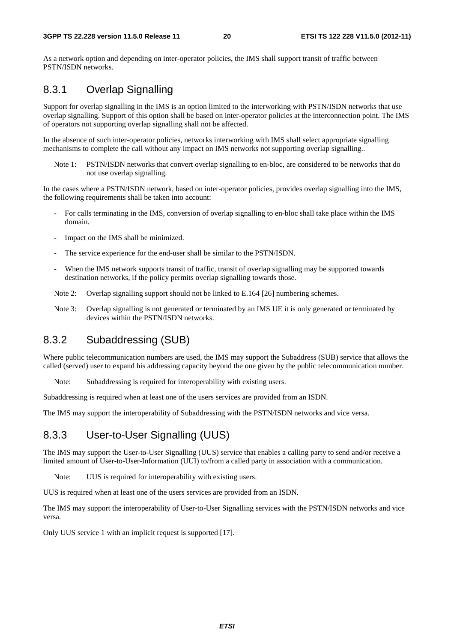As a network option and depending on inter-operator policies, the IMS shall support transit of traffic between PSTN/ISDN networks.

#### 8.3.1 Overlap Signalling

Support for overlap signalling in the IMS is an option limited to the interworking with PSTN/ISDN networks that use overlap signalling. Support of this option shall be based on inter-operator policies at the interconnection point. The IMS of operators not supporting overlap signalling shall not be affected.

In the absence of such inter-operator policies, networks interworking with IMS shall select appropriate signalling mechanisms to complete the call without any impact on IMS networks not supporting overlap signalling..

Note 1: PSTN/ISDN networks that convert overlap signalling to en-bloc, are considered to be networks that do not use overlap signalling.

In the cases where a PSTN/ISDN network, based on inter-operator policies, provides overlap signalling into the IMS, the following requirements shall be taken into account:

- For calls terminating in the IMS, conversion of overlap signalling to en-bloc shall take place within the IMS domain.
- Impact on the IMS shall be minimized.
- The service experience for the end-user shall be similar to the PSTN/ISDN.
- When the IMS network supports transit of traffic, transit of overlap signalling may be supported towards destination networks, if the policy permits overlap signalling towards those.
- Note 2: Overlap signalling support should not be linked to E.164 [26] numbering schemes.
- Note 3: Overlap signalling is not generated or terminated by an IMS UE it is only generated or terminated by devices within the PSTN/ISDN networks.

#### 8.3.2 Subaddressing (SUB)

Where public telecommunication numbers are used, the IMS may support the Subaddress (SUB) service that allows the called (served) user to expand his addressing capacity beyond the one given by the public telecommunication number.

Note: Subaddressing is required for interoperability with existing users.

Subaddressing is required when at least one of the users services are provided from an ISDN.

The IMS may support the interoperability of Subaddressing with the PSTN/ISDN networks and vice versa.

#### 8.3.3 User-to-User Signalling (UUS)

The IMS may support the User-to-User Signalling (UUS) service that enables a calling party to send and/or receive a limited amount of User-to-User-Information (UUI) to/from a called party in association with a communication.

Note: UUS is required for interoperability with existing users.

UUS is required when at least one of the users services are provided from an ISDN.

The IMS may support the interoperability of User-to-User Signalling services with the PSTN/ISDN networks and vice versa.

Only UUS service 1 with an implicit request is supported [17].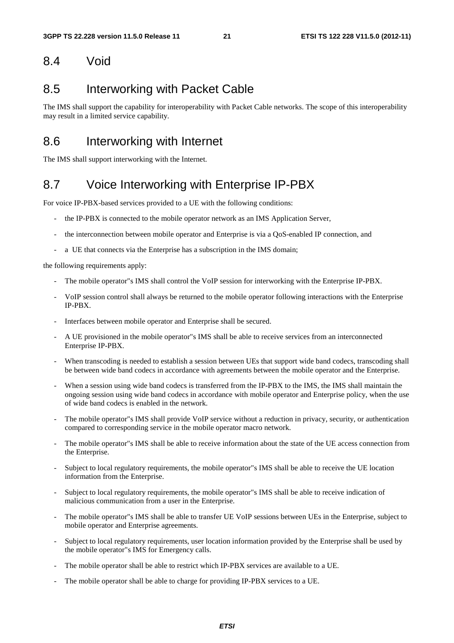#### 8.4 Void

### 8.5 Interworking with Packet Cable

The IMS shall support the capability for interoperability with Packet Cable networks. The scope of this interoperability may result in a limited service capability.

### 8.6 Interworking with Internet

The IMS shall support interworking with the Internet.

### 8.7 Voice Interworking with Enterprise IP-PBX

For voice IP-PBX-based services provided to a UE with the following conditions:

- the IP-PBX is connected to the mobile operator network as an IMS Application Server,
- the interconnection between mobile operator and Enterprise is via a QoS-enabled IP connection, and
- a UE that connects via the Enterprise has a subscription in the IMS domain;

the following requirements apply:

- The mobile operator"s IMS shall control the VoIP session for interworking with the Enterprise IP-PBX.
- VoIP session control shall always be returned to the mobile operator following interactions with the Enterprise IP-PBX.
- Interfaces between mobile operator and Enterprise shall be secured.
- A UE provisioned in the mobile operator"s IMS shall be able to receive services from an interconnected Enterprise IP-PBX.
- When transcoding is needed to establish a session between UEs that support wide band codecs, transcoding shall be between wide band codecs in accordance with agreements between the mobile operator and the Enterprise.
- When a session using wide band codecs is transferred from the IP-PBX to the IMS, the IMS shall maintain the ongoing session using wide band codecs in accordance with mobile operator and Enterprise policy, when the use of wide band codecs is enabled in the network.
- The mobile operator"s IMS shall provide VoIP service without a reduction in privacy, security, or authentication compared to corresponding service in the mobile operator macro network.
- The mobile operator"s IMS shall be able to receive information about the state of the UE access connection from the Enterprise.
- Subject to local regulatory requirements, the mobile operator"s IMS shall be able to receive the UE location information from the Enterprise.
- Subject to local regulatory requirements, the mobile operator"s IMS shall be able to receive indication of malicious communication from a user in the Enterprise.
- The mobile operator"s IMS shall be able to transfer UE VoIP sessions between UEs in the Enterprise, subject to mobile operator and Enterprise agreements.
- Subject to local regulatory requirements, user location information provided by the Enterprise shall be used by the mobile operator"s IMS for Emergency calls.
- The mobile operator shall be able to restrict which IP-PBX services are available to a UE.
- The mobile operator shall be able to charge for providing IP-PBX services to a UE.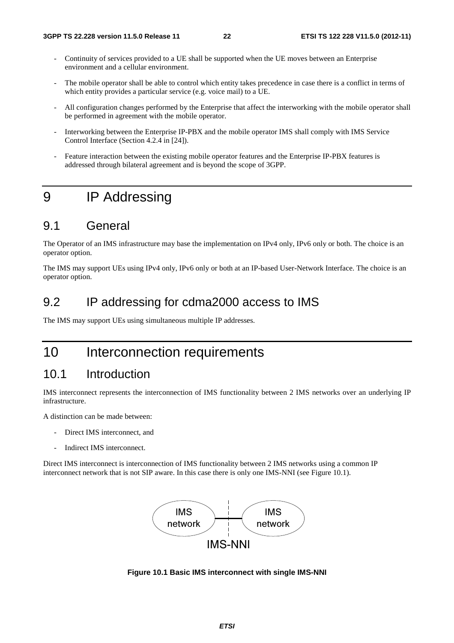- Continuity of services provided to a UE shall be supported when the UE moves between an Enterprise environment and a cellular environment.
- The mobile operator shall be able to control which entity takes precedence in case there is a conflict in terms of which entity provides a particular service (e.g. voice mail) to a UE.
- All configuration changes performed by the Enterprise that affect the interworking with the mobile operator shall be performed in agreement with the mobile operator.
- Interworking between the Enterprise IP-PBX and the mobile operator IMS shall comply with IMS Service Control Interface (Section 4.2.4 in [24]).
- Feature interaction between the existing mobile operator features and the Enterprise IP-PBX features is addressed through bilateral agreement and is beyond the scope of 3GPP.

## 9 IP Addressing

### 9.1 General

The Operator of an IMS infrastructure may base the implementation on IPv4 only, IPv6 only or both. The choice is an operator option.

The IMS may support UEs using IPv4 only, IPv6 only or both at an IP-based User-Network Interface. The choice is an operator option.

#### 9.2 IP addressing for cdma2000 access to IMS

The IMS may support UEs using simultaneous multiple IP addresses.

### 10 Interconnection requirements

#### 10.1 Introduction

IMS interconnect represents the interconnection of IMS functionality between 2 IMS networks over an underlying IP infrastructure.

A distinction can be made between:

- Direct IMS interconnect, and
- Indirect IMS interconnect.

Direct IMS interconnect is interconnection of IMS functionality between 2 IMS networks using a common IP interconnect network that is not SIP aware. In this case there is only one IMS-NNI (see Figure 10.1).



**Figure 10.1 Basic IMS interconnect with single IMS-NNI**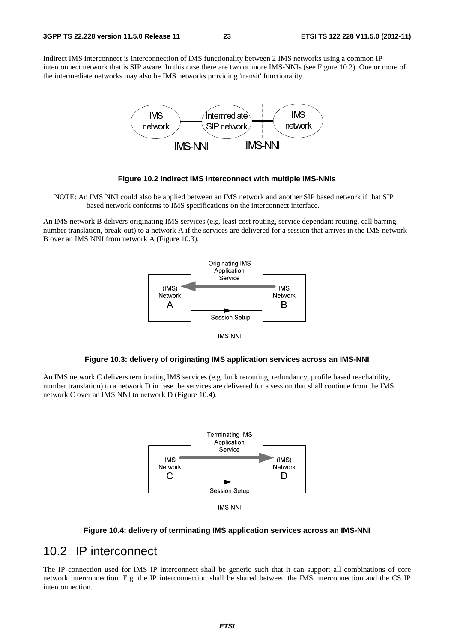Indirect IMS interconnect is interconnection of IMS functionality between 2 IMS networks using a common IP interconnect network that is SIP aware. In this case there are two or more IMS-NNIs (see Figure 10.2). One or more of the intermediate networks may also be IMS networks providing 'transit' functionality.



#### **Figure 10.2 Indirect IMS interconnect with multiple IMS-NNIs**

NOTE: An IMS NNI could also be applied between an IMS network and another SIP based network if that SIP based network conforms to IMS specifications on the interconnect interface.

An IMS network B delivers originating IMS services (e.g. least cost routing, service dependant routing, call barring, number translation, break-out) to a network A if the services are delivered for a session that arrives in the IMS network B over an IMS NNI from network A (Figure 10.3).



IMS-NNI

#### **Figure 10.3: delivery of originating IMS application services across an IMS-NNI**

An IMS network C delivers terminating IMS services (e.g. bulk rerouting, redundancy, profile based reachability, number translation) to a network D in case the services are delivered for a session that shall continue from the IMS network C over an IMS NNI to network D (Figure 10.4).





#### **Figure 10.4: delivery of terminating IMS application services across an IMS-NNI**

### 10.2 IP interconnect

The IP connection used for IMS IP interconnect shall be generic such that it can support all combinations of core network interconnection. E.g. the IP interconnection shall be shared between the IMS interconnection and the CS IP interconnection.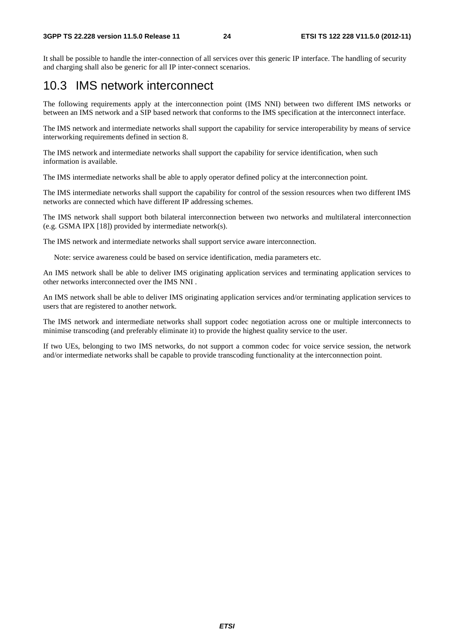#### **3GPP TS 22.228 version 11.5.0 Release 11 24 ETSI TS 122 228 V11.5.0 (2012-11)**

It shall be possible to handle the inter-connection of all services over this generic IP interface. The handling of security and charging shall also be generic for all IP inter-connect scenarios.

### 10.3 IMS network interconnect

The following requirements apply at the interconnection point (IMS NNI) between two different IMS networks or between an IMS network and a SIP based network that conforms to the IMS specification at the interconnect interface.

The IMS network and intermediate networks shall support the capability for service interoperability by means of service interworking requirements defined in section 8.

The IMS network and intermediate networks shall support the capability for service identification, when such information is available.

The IMS intermediate networks shall be able to apply operator defined policy at the interconnection point.

The IMS intermediate networks shall support the capability for control of the session resources when two different IMS networks are connected which have different IP addressing schemes.

The IMS network shall support both bilateral interconnection between two networks and multilateral interconnection (e.g. GSMA IPX [18]) provided by intermediate network(s).

The IMS network and intermediate networks shall support service aware interconnection.

Note: service awareness could be based on service identification, media parameters etc.

An IMS network shall be able to deliver IMS originating application services and terminating application services to other networks interconnected over the IMS NNI .

An IMS network shall be able to deliver IMS originating application services and/or terminating application services to users that are registered to another network.

The IMS network and intermediate networks shall support codec negotiation across one or multiple interconnects to minimise transcoding (and preferably eliminate it) to provide the highest quality service to the user.

If two UEs, belonging to two IMS networks, do not support a common codec for voice service session, the network and/or intermediate networks shall be capable to provide transcoding functionality at the interconnection point.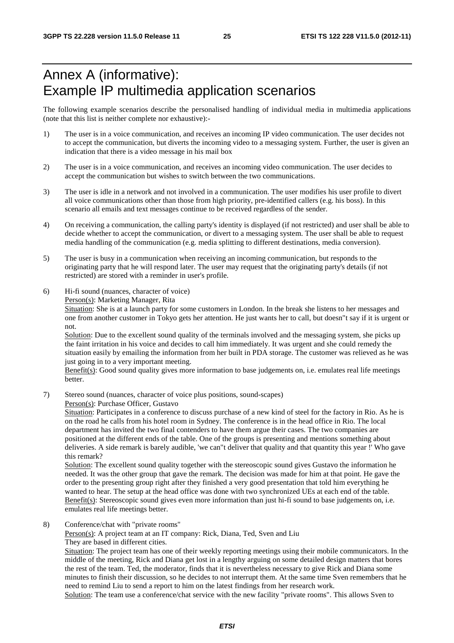## Annex A (informative): Example IP multimedia application scenarios

The following example scenarios describe the personalised handling of individual media in multimedia applications (note that this list is neither complete nor exhaustive):-

- 1) The user is in a voice communication, and receives an incoming IP video communication. The user decides not to accept the communication, but diverts the incoming video to a messaging system. Further, the user is given an indication that there is a video message in his mail box
- 2) The user is in a voice communication, and receives an incoming video communication. The user decides to accept the communication but wishes to switch between the two communications.
- 3) The user is idle in a network and not involved in a communication. The user modifies his user profile to divert all voice communications other than those from high priority, pre-identified callers (e.g. his boss). In this scenario all emails and text messages continue to be received regardless of the sender.
- 4) On receiving a communication, the calling party's identity is displayed (if not restricted) and user shall be able to decide whether to accept the communication, or divert to a messaging system. The user shall be able to request media handling of the communication (e.g. media splitting to different destinations, media conversion).
- 5) The user is busy in a communication when receiving an incoming communication, but responds to the originating party that he will respond later. The user may request that the originating party's details (if not restricted) are stored with a reminder in user's profile.
- 6) Hi-fi sound (nuances, character of voice)

Person(s): Marketing Manager, Rita

Situation: She is at a launch party for some customers in London. In the break she listens to her messages and one from another customer in Tokyo gets her attention. He just wants her to call, but doesn"t say if it is urgent or not.

Solution: Due to the excellent sound quality of the terminals involved and the messaging system, she picks up the faint irritation in his voice and decides to call him immediately. It was urgent and she could remedy the situation easily by emailing the information from her built in PDA storage. The customer was relieved as he was just going in to a very important meeting.

Benefit(s): Good sound quality gives more information to base judgements on, i.e. emulates real life meetings better.

7) Stereo sound (nuances, character of voice plus positions, sound-scapes)

Person(s): Purchase Officer, Gustavo

Situation: Participates in a conference to discuss purchase of a new kind of steel for the factory in Rio. As he is on the road he calls from his hotel room in Sydney. The conference is in the head office in Rio. The local department has invited the two final contenders to have them argue their cases. The two companies are positioned at the different ends of the table. One of the groups is presenting and mentions something about deliveries. A side remark is barely audible, 'we can"t deliver that quality and that quantity this year !' Who gave this remark?

Solution: The excellent sound quality together with the stereoscopic sound gives Gustavo the information he needed. It was the other group that gave the remark. The decision was made for him at that point. He gave the order to the presenting group right after they finished a very good presentation that told him everything he wanted to hear. The setup at the head office was done with two synchronized UEs at each end of the table. Benefit(s): Stereoscopic sound gives even more information than just hi-fi sound to base judgements on, i.e. emulates real life meetings better.

8) Conference/chat with "private rooms"

Person(s): A project team at an IT company: Rick, Diana, Ted, Sven and Liu They are based in different cities.

Situation: The project team has one of their weekly reporting meetings using their mobile communicators. In the middle of the meeting, Rick and Diana get lost in a lengthy arguing on some detailed design matters that bores the rest of the team. Ted, the moderator, finds that it is nevertheless necessary to give Rick and Diana some minutes to finish their discussion, so he decides to not interrupt them. At the same time Sven remembers that he need to remind Liu to send a report to him on the latest findings from her research work. Solution: The team use a conference/chat service with the new facility "private rooms". This allows Sven to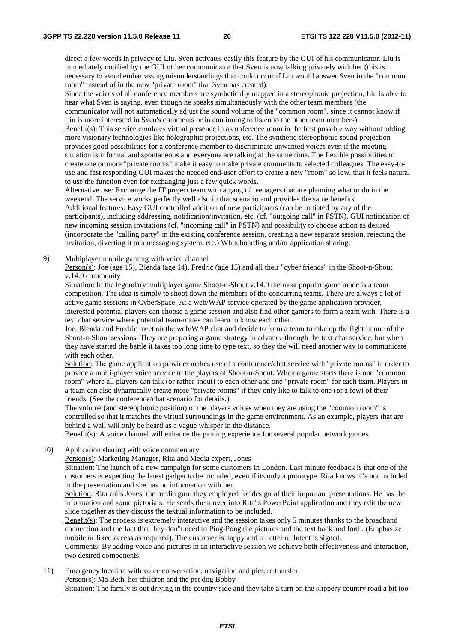direct a few words in privacy to Liu. Sven activates easily this feature by the GUI of his communicator. Liu is immediately notified by the GUI of her communicator that Sven is now talking privately with her (this is necessary to avoid embarrassing misunderstandings that could occur if Liu would answer Sven in the "common room" instead of in the new "private room" that Sven has created).

Since the voices of all conference members are synthetically mapped in a stereophonic projection, Liu is able to hear what Sven is saying, even though he speaks simultaneously with the other team members (the communicator will not automatically adjust the sound volume of the "common room", since it cannot know if

Liu is more interested in Sven's comments or in continuing to listen to the other team members).

Benefit(s): This service emulates virtual presence in a conference room in the best possible way without adding more visionary technologies like holographic projections, etc. The synthetic stereophonic sound projection provides good possibilities for a conference member to discriminate unwanted voices even if the meeting situation is informal and spontaneous and everyone are talking at the same time. The flexible possibilities to create one or more "private rooms" make it easy to make private comments to selected colleagues. The easy-touse and fast responding GUI makes the needed end-user effort to create a new "room" so low, that it feels natural to use the function even for exchanging just a few quick words.

Alternative use: Exchange the IT project team with a gang of teenagers that are planning what to do in the weekend. The service works perfectly well also in that scenario and provides the same benefits. Additional features: Easy GUI controlled addition of new participants (can be initiated by any of the participants), including addressing, notification/invitation, etc. (cf. "outgoing call" in PSTN). GUI notification of new incoming session invitations (cf. "incoming call" in PSTN) and possibility to choose action as desired (incorporate the "calling party" in the existing conference session, creating a new separate session, rejecting the invitation, diverting it to a messaging system, etc.) Whiteboarding and/or application sharing.

9) Multiplayer mobile gaming with voice channel

Person(s): Joe (age 15), Blenda (age 14), Fredric (age 15) and all their "cyber friends" in the Shoot-n-Shout v.14.0 community

Situation: In the legendary multiplayer game Shoot-n-Shout v.14.0 the most popular game mode is a team competition. The idea is simply to shoot down the members of the concurring teams. There are always a lot of active game sessions in CyberSpace. At a web/WAP service operated by the game application provider, interested potential players can choose a game session and also find other gamers to form a team with. There is a text chat service where potential team-mates can learn to know each other.

Joe, Blenda and Fredric meet on the web/WAP chat and decide to form a team to take up the fight in one of the Shoot-n-Shout sessions. They are preparing a game strategy in advance through the text chat service, but when they have started the battle it takes too long time to type text, so they the will need another way to communicate with each other.

Solution: The game application provider makes use of a conference/chat service with "private rooms" in order to provide a multi-player voice service to the players of Shoot-n-Shout. When a game starts there is one "common room" where all players can talk (or rather shout) to each other and one "private room" for each team. Players in a team can also dynamically create more "private rooms" if they only like to talk to one (or a few) of their friends. (See the conference/chat scenario for details.)

The volume (and stereophonic position) of the players voices when they are using the "common room" is controlled so that it matches the virtual surroundings in the game environment. As an example, players that are behind a wall will only be heard as a vague whisper in the distance.

Benefit(s): A voice channel will enhance the gaming experience for several popular network games.

10) Application sharing with voice commentary

Person(s): Marketing Manager, Rita and Media expert, Jones

Situation: The launch of a new campaign for some customers in London. Last minute feedback is that one of the customers is expecting the latest gadget to be included, even if its only a prototype. Rita knows it"s not included in the presentation and she has no information with her.

Solution: Rita calls Jones, the media guru they employed for design of their important presentations. He has the information and some pictorials. He sends them over into Rita"s PowerPoint application and they edit the new slide together as they discuss the textual information to be included.

Benefit(s): The process is extremely interactive and the session takes only 5 minutes thanks to the broadband connection and the fact that they don"t need to Ping-Pong the pictures and the text back and forth. (Emphasize mobile or fixed access as required). The customer is happy and a Letter of Intent is signed.

Comments: By adding voice and pictures in an interactive session we achieve both effectiveness and interaction, two desired components.

11) Emergency location with voice conversation, navigation and picture transfer Person(s): Ma Beth, her children and the pet dog Bobby Situation: The family is out driving in the country side and they take a turn on the slippery country road a bit too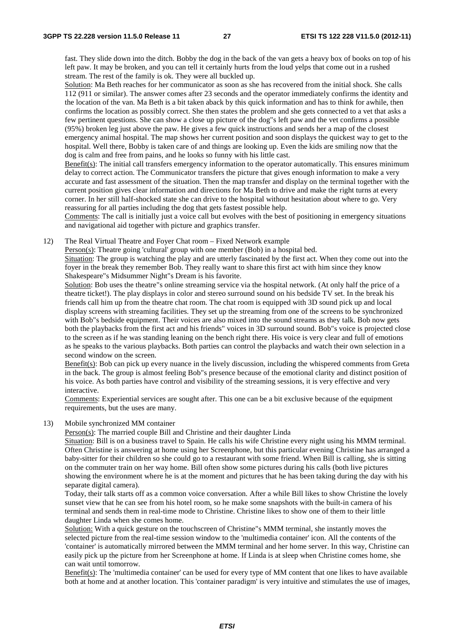fast. They slide down into the ditch. Bobby the dog in the back of the van gets a heavy box of books on top of his left paw. It may be broken, and you can tell it certainly hurts from the loud yelps that come out in a rushed stream. The rest of the family is ok. They were all buckled up.

Solution: Ma Beth reaches for her communicator as soon as she has recovered from the initial shock. She calls 112 (911 or similar). The answer comes after 23 seconds and the operator immediately confirms the identity and the location of the van. Ma Beth is a bit taken aback by this quick information and has to think for awhile, then confirms the location as possibly correct. She then states the problem and she gets connected to a vet that asks a few pertinent questions. She can show a close up picture of the dog"s left paw and the vet confirms a possible (95%) broken leg just above the paw. He gives a few quick instructions and sends her a map of the closest emergency animal hospital. The map shows her current position and soon displays the quickest way to get to the hospital. Well there, Bobby is taken care of and things are looking up. Even the kids are smiling now that the dog is calm and free from pains, and he looks so funny with his little cast.

Benefit(s): The initial call transfers emergency information to the operator automatically. This ensures minimum delay to correct action. The Communicator transfers the picture that gives enough information to make a very accurate and fast assessment of the situation. Then the map transfer and display on the terminal together with the current position gives clear information and directions for Ma Beth to drive and make the right turns at every corner. In her still half-shocked state she can drive to the hospital without hesitation about where to go. Very reassuring for all parties including the dog that gets fastest possible help.

Comments: The call is initially just a voice call but evolves with the best of positioning in emergency situations and navigational aid together with picture and graphics transfer.

12) The Real Virtual Theatre and Foyer Chat room – Fixed Network example

Person(s): Theatre going 'cultural' group with one member (Bob) in a hospital bed.

Situation: The group is watching the play and are utterly fascinated by the first act. When they come out into the foyer in the break they remember Bob. They really want to share this first act with him since they know Shakespeare"s Midsummer Night"s Dream is his favorite.

Solution: Bob uses the theatre"s online streaming service via the hospital network. (At only half the price of a theatre ticket!). The play displays in color and stereo surround sound on his bedside TV set. In the break his friends call him up from the theatre chat room. The chat room is equipped with 3D sound pick up and local display screens with streaming facilities. They set up the streaming from one of the screens to be synchronized with Bob"s bedside equipment. Their voices are also mixed into the sound streams as they talk. Bob now gets both the playbacks from the first act and his friends" voices in 3D surround sound. Bob"s voice is projected close to the screen as if he was standing leaning on the bench right there. His voice is very clear and full of emotions as he speaks to the various playbacks. Both parties can control the playbacks and watch their own selection in a second window on the screen.

Benefit(s): Bob can pick up every nuance in the lively discussion, including the whispered comments from Greta in the back. The group is almost feeling Bob"s presence because of the emotional clarity and distinct position of his voice. As both parties have control and visibility of the streaming sessions, it is very effective and very interactive.

Comments: Experiential services are sought after. This one can be a bit exclusive because of the equipment requirements, but the uses are many.

13) Mobile synchronized MM container

Person(s): The married couple Bill and Christine and their daughter Linda

Situation: Bill is on a business travel to Spain. He calls his wife Christine every night using his MMM terminal. Often Christine is answering at home using her Screenphone, but this particular evening Christine has arranged a baby-sitter for their children so she could go to a restaurant with some friend. When Bill is calling, she is sitting on the commuter train on her way home. Bill often show some pictures during his calls (both live pictures showing the environment where he is at the moment and pictures that he has been taking during the day with his separate digital camera).

Today, their talk starts off as a common voice conversation. After a while Bill likes to show Christine the lovely sunset view that he can see from his hotel room, so he make some snapshots with the built-in camera of his terminal and sends them in real-time mode to Christine. Christine likes to show one of them to their little daughter Linda when she comes home.

Solution: With a quick gesture on the touchscreen of Christine"s MMM terminal, she instantly moves the selected picture from the real-time session window to the 'multimedia container' icon. All the contents of the 'container' is automatically mirrored between the MMM terminal and her home server. In this way, Christine can easily pick up the picture from her Screenphone at home. If Linda is at sleep when Christine comes home, she can wait until tomorrow.

Benefit(s): The 'multimedia container' can be used for every type of MM content that one likes to have available both at home and at another location. This 'container paradigm' is very intuitive and stimulates the use of images,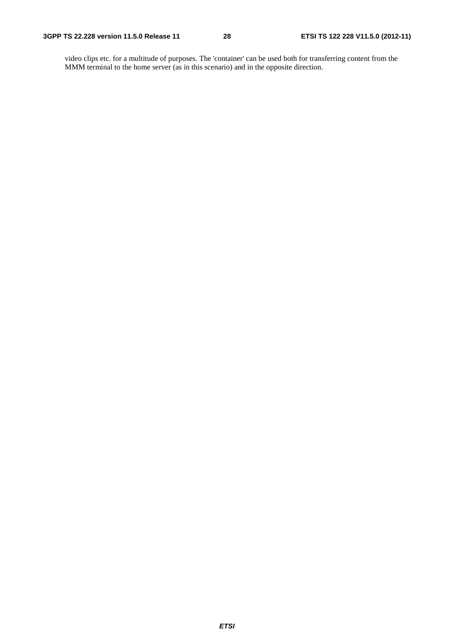video clips etc. for a multitude of purposes. The 'container' can be used both for transferring content from the MMM terminal to the home server (as in this scenario) and in the opposite direction.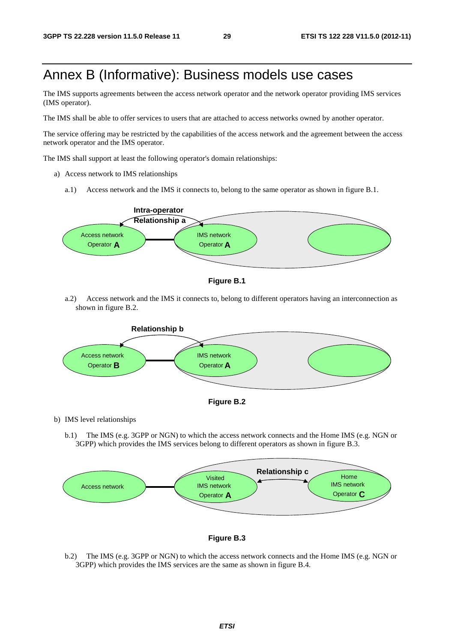## Annex B (Informative): Business models use cases

The IMS supports agreements between the access network operator and the network operator providing IMS services (IMS operator).

The IMS shall be able to offer services to users that are attached to access networks owned by another operator.

The service offering may be restricted by the capabilities of the access network and the agreement between the access network operator and the IMS operator.

The IMS shall support at least the following operator's domain relationships:

- a) Access network to IMS relationships
	- a.1) Access network and the IMS it connects to, belong to the same operator as shown in figure B.1.





a.2) Access network and the IMS it connects to, belong to different operators having an interconnection as shown in figure B.2.





b) IMS level relationships

b.1) The IMS (e.g. 3GPP or NGN) to which the access network connects and the Home IMS (e.g. NGN or 3GPP) which provides the IMS services belong to different operators as shown in figure B.3.





b.2) The IMS (e.g. 3GPP or NGN) to which the access network connects and the Home IMS (e.g. NGN or 3GPP) which provides the IMS services are the same as shown in figure B.4.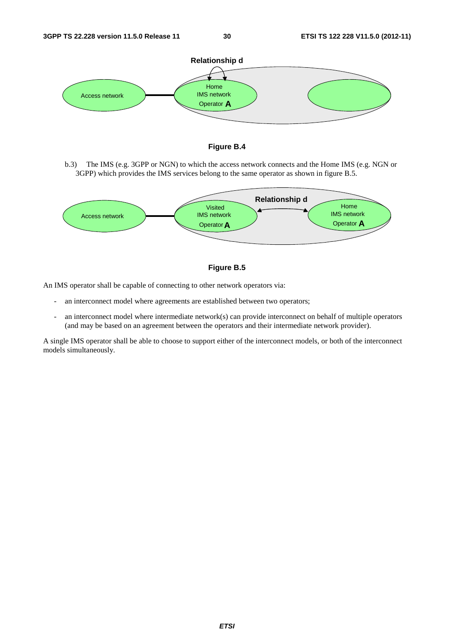



b.3) The IMS (e.g. 3GPP or NGN) to which the access network connects and the Home IMS (e.g. NGN or 3GPP) which provides the IMS services belong to the same operator as shown in figure B.5.





An IMS operator shall be capable of connecting to other network operators via:

- an interconnect model where agreements are established between two operators;
- an interconnect model where intermediate network(s) can provide interconnect on behalf of multiple operators (and may be based on an agreement between the operators and their intermediate network provider).

A single IMS operator shall be able to choose to support either of the interconnect models, or both of the interconnect models simultaneously.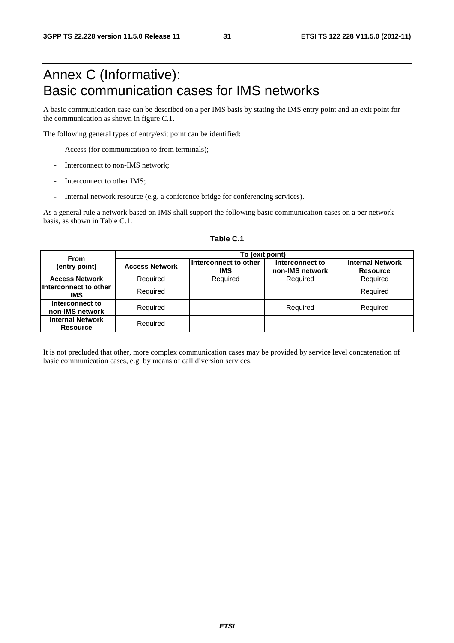## Annex C (Informative): Basic communication cases for IMS networks

A basic communication case can be described on a per IMS basis by stating the IMS entry point and an exit point for the communication as shown in figure C.1.

The following general types of entry/exit point can be identified:

- Access (for communication to from terminals);
- Interconnect to non-IMS network:
- Interconnect to other IMS:
- Internal network resource (e.g. a conference bridge for conferencing services).

As a general rule a network based on IMS shall support the following basic communication cases on a per network basis, as shown in Table C.1.

| <b>From</b>                                | To (exit point)       |                                     |                                    |                                            |  |  |  |  |  |  |
|--------------------------------------------|-----------------------|-------------------------------------|------------------------------------|--------------------------------------------|--|--|--|--|--|--|
| (entry point)                              | <b>Access Network</b> | Interconnect to other<br><b>IMS</b> | Interconnect to<br>non-IMS network | <b>Internal Network</b><br><b>Resource</b> |  |  |  |  |  |  |
| <b>Access Network</b>                      | Required              | Required                            | Required                           | Required                                   |  |  |  |  |  |  |
| Interconnect to other<br>IMS               | Required              |                                     |                                    | Required                                   |  |  |  |  |  |  |
| Interconnect to<br>non-IMS network         | Required              |                                     | Required                           | Required                                   |  |  |  |  |  |  |
| <b>Internal Network</b><br><b>Resource</b> | Required              |                                     |                                    |                                            |  |  |  |  |  |  |

#### **Table C.1**

It is not precluded that other, more complex communication cases may be provided by service level concatenation of basic communication cases, e.g. by means of call diversion services.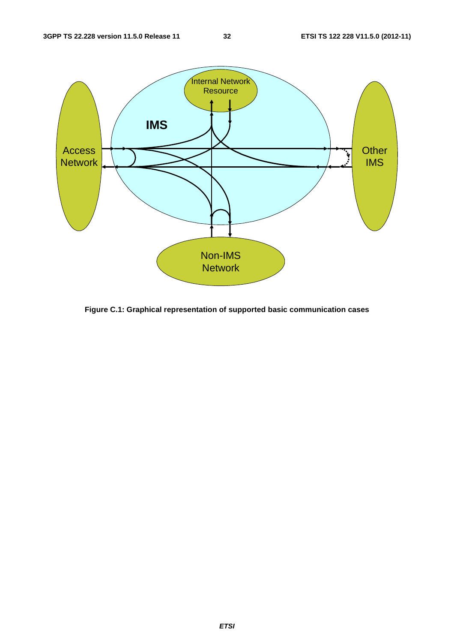

**Figure C.1: Graphical representation of supported basic communication cases**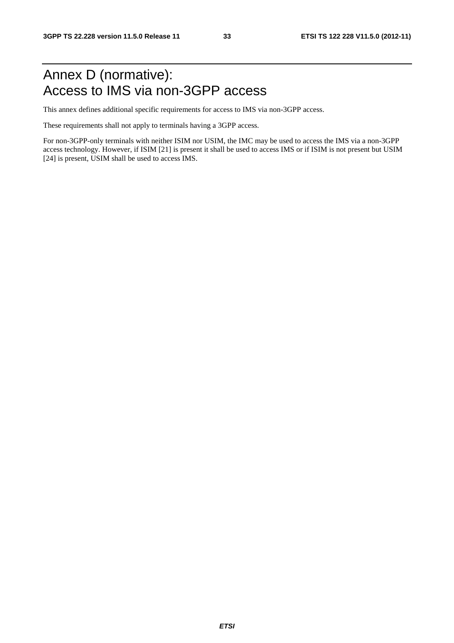## Annex D (normative): Access to IMS via non-3GPP access

This annex defines additional specific requirements for access to IMS via non-3GPP access.

These requirements shall not apply to terminals having a 3GPP access.

For non-3GPP-only terminals with neither ISIM nor USIM, the IMC may be used to access the IMS via a non-3GPP access technology. However, if ISIM [21] is present it shall be used to access IMS or if ISIM is not present but USIM [24] is present, USIM shall be used to access IMS.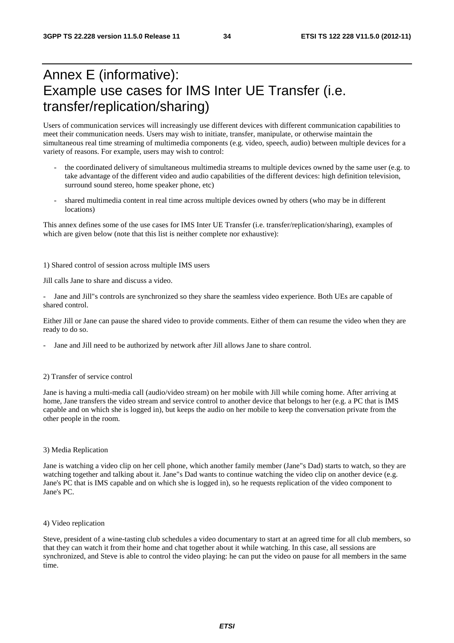## Annex E (informative): Example use cases for IMS Inter UE Transfer (i.e. transfer/replication/sharing)

Users of communication services will increasingly use different devices with different communication capabilities to meet their communication needs. Users may wish to initiate, transfer, manipulate, or otherwise maintain the simultaneous real time streaming of multimedia components (e.g. video, speech, audio) between multiple devices for a variety of reasons. For example, users may wish to control:

- the coordinated delivery of simultaneous multimedia streams to multiple devices owned by the same user (e.g. to take advantage of the different video and audio capabilities of the different devices: high definition television, surround sound stereo, home speaker phone, etc)
- shared multimedia content in real time across multiple devices owned by others (who may be in different locations)

This annex defines some of the use cases for IMS Inter UE Transfer (i.e. transfer/replication/sharing), examples of which are given below (note that this list is neither complete nor exhaustive):

1) Shared control of session across multiple IMS users

Jill calls Jane to share and discuss a video.

Jane and Jill"s controls are synchronized so they share the seamless video experience. Both UEs are capable of shared control.

Either Jill or Jane can pause the shared video to provide comments. Either of them can resume the video when they are ready to do so.

Jane and Jill need to be authorized by network after Jill allows Jane to share control.

#### 2) Transfer of service control

Jane is having a multi-media call (audio/video stream) on her mobile with Jill while coming home. After arriving at home, Jane transfers the video stream and service control to another device that belongs to her (e.g. a PC that is IMS capable and on which she is logged in), but keeps the audio on her mobile to keep the conversation private from the other people in the room.

#### 3) Media Replication

Jane is watching a video clip on her cell phone, which another family member (Jane"s Dad) starts to watch, so they are watching together and talking about it. Jane"s Dad wants to continue watching the video clip on another device (e.g. Jane's PC that is IMS capable and on which she is logged in), so he requests replication of the video component to Jane's PC.

4) Video replication

Steve, president of a wine-tasting club schedules a video documentary to start at an agreed time for all club members, so that they can watch it from their home and chat together about it while watching. In this case, all sessions are synchronized, and Steve is able to control the video playing: he can put the video on pause for all members in the same time.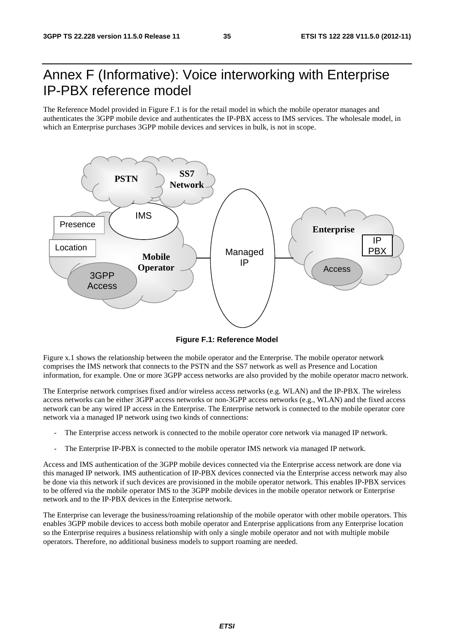## Annex F (Informative): Voice interworking with Enterprise IP-PBX reference model

The Reference Model provided in Figure F.1 is for the retail model in which the mobile operator manages and authenticates the 3GPP mobile device and authenticates the IP-PBX access to IMS services. The wholesale model, in which an Enterprise purchases 3GPP mobile devices and services in bulk, is not in scope.



**Figure F.1: Reference Model** 

Figure x.1 shows the relationship between the mobile operator and the Enterprise. The mobile operator network comprises the IMS network that connects to the PSTN and the SS7 network as well as Presence and Location information, for example. One or more 3GPP access networks are also provided by the mobile operator macro network.

The Enterprise network comprises fixed and/or wireless access networks (e.g. WLAN) and the IP-PBX. The wireless access networks can be either 3GPP access networks or non-3GPP access networks (e.g., WLAN) and the fixed access network can be any wired IP access in the Enterprise. The Enterprise network is connected to the mobile operator core network via a managed IP network using two kinds of connections:

- The Enterprise access network is connected to the mobile operator core network via managed IP network.
- The Enterprise IP-PBX is connected to the mobile operator IMS network via managed IP network.

Access and IMS authentication of the 3GPP mobile devices connected via the Enterprise access network are done via this managed IP network. IMS authentication of IP-PBX devices connected via the Enterprise access network may also be done via this network if such devices are provisioned in the mobile operator network. This enables IP-PBX services to be offered via the mobile operator IMS to the 3GPP mobile devices in the mobile operator network or Enterprise network and to the IP-PBX devices in the Enterprise network.

The Enterprise can leverage the business/roaming relationship of the mobile operator with other mobile operators. This enables 3GPP mobile devices to access both mobile operator and Enterprise applications from any Enterprise location so the Enterprise requires a business relationship with only a single mobile operator and not with multiple mobile operators. Therefore, no additional business models to support roaming are needed.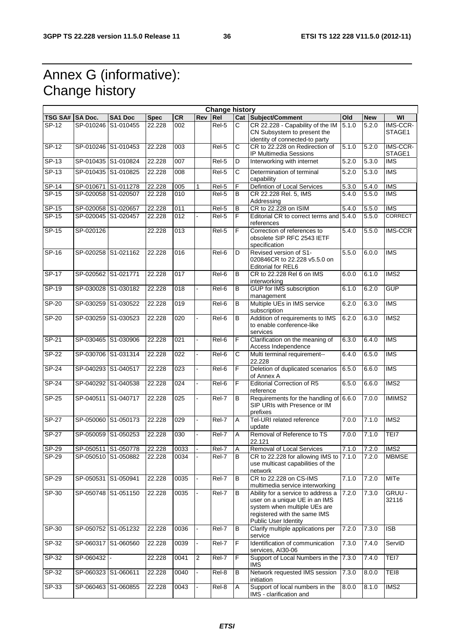## Annex G (informative): Change history

|                 |                     |                     |             |                  |                | <b>Change history</b> |                       |                                                                                                                                                             |                    |            |                          |
|-----------------|---------------------|---------------------|-------------|------------------|----------------|-----------------------|-----------------------|-------------------------------------------------------------------------------------------------------------------------------------------------------------|--------------------|------------|--------------------------|
| TSG SA# SA Doc. |                     | <b>SA1 Doc</b>      | <b>Spec</b> | <b>CR</b>        | Rev            | Re <sub>l</sub>       |                       | Cat Subject/Comment                                                                                                                                         | Old                | <b>New</b> | WI                       |
| $SP-12$         | SP-010246           | S1-010455           | 22.228      | 002              |                | Rel-5                 | $\overline{c}$        | CR 22.228 - Capability of the IM<br>CN Subsystem to present the<br>identity of connected-to party                                                           | 5.1.0              | 5.2.0      | IMS-CCR-<br>STAGE1       |
| $SP-12$         |                     | SP-010246 S1-010453 | 22.228      | 003              |                | Rel-5                 | C                     | CR to 22.228 on Redirection of<br>IP Multimedia Sessions                                                                                                    | 5.1.0              | 5.2.0      | IMS-CCR-<br>STAGE1       |
| $SP-13$         |                     | SP-010435 S1-010824 | 22.228      | 007              |                | Rel-5                 | D                     | Interworking with internet                                                                                                                                  | 5.2.0              | 5.3.0      | <b>IMS</b>               |
| $SP-13$         |                     | SP-010435 S1-010825 | 22.228      | 008              |                | Rel-5                 | C                     | Determination of terminal<br>capability                                                                                                                     | 5.2.0              | 5.3.0      | <b>IMS</b>               |
| SP-14           |                     | SP-010671 S1-011278 | 22.228      | 005              | 1              | Rel-5                 | F                     | Defintion of Local Services                                                                                                                                 | $\overline{5.3.0}$ | 5.4.0      | <b>IMS</b>               |
| $SP-15$         |                     | SP-020058 S1-020507 | 22.228      | 010              |                | Rel-5                 | $\overline{B}$        | CR 22.228 Rel. 5, IMS<br>Addressing                                                                                                                         | 5.4.0              | 5.5.0      | $\overline{\text{IMS}}$  |
| SP-15           | SP-020058 S1-020657 |                     | 22.228      | 011              |                | Rel-5                 | B                     | CR to 22.228 on ISIM                                                                                                                                        | 5.4.0              | 5.5.0      | <b>IMS</b>               |
| SP-15           | SP-020045 S1-020457 |                     | 22.228      | $\overline{012}$ |                | Rel-5                 | $\overline{F}$        | Editorial CR to correct terms and 5.4.0<br>references                                                                                                       |                    | 5.5.0      | <b>CORRECT</b>           |
| SP-15           | SP-020126           |                     | 22.228      | 013              |                | Rel-5                 | F                     | Correction of references to<br>obsolete SIP RFC 2543 IETF<br>specification                                                                                  | $\overline{5.4.0}$ | 5.5.0      | <b>IMS-CCR</b>           |
| SP-16           |                     | SP-020258 S1-021162 | 22.228      | 016              |                | Rel-6                 | D                     | Revised version of S1-<br>020846CR to 22,228 v5.5.0 on<br>Editorial for REL6                                                                                | 5.5.0              | 6.0.0      | <b>IMS</b>               |
| <b>SP-17</b>    | SP-020562 S1-021771 |                     | 22.228      | 017              |                | Rel-6                 | B                     | CR to 22.228 Rel 6 on IMS<br>interworking                                                                                                                   | 6.0.0              | 6.1.0      | IMS2                     |
| $SP-19$         |                     | SP-030028 S1-030182 | 22.228      | $\overline{018}$ |                | Rel-6                 | B                     | <b>GUP</b> for IMS subscription<br>management                                                                                                               | 6.1.0              | 6.2.0      | <b>GUP</b>               |
| SP-20           |                     | SP-030259 S1-030522 | 22.228      | 019              |                | Rel-6                 | B                     | Multiple UEs in IMS service<br>subscription                                                                                                                 | 6.2.0              | 6.3.0      | <b>IMS</b>               |
| SP-20           | SP-030259           | S1-030523           | 22.228      | 020              |                | Rel-6                 | B                     | Addition of requirements to IMS<br>to enable conference-like<br>services                                                                                    | 6.2.0              | 6.3.0      | $\overline{\text{IMS2}}$ |
| $SP-21$         | SP-030465 S1-030906 |                     | 22.228      | $\overline{021}$ |                | Rel-6                 | F                     | Clarification on the meaning of<br>Access Independence                                                                                                      | 6.3.0              | 6.4.0      | <b>IMS</b>               |
| $SP-22$         |                     | SP-030706 S1-031314 | 22.228      | $\overline{022}$ |                | Rel-6                 | $\overline{\text{c}}$ | Multi terminal requirement--<br>22.228                                                                                                                      | 6.4.0              | 6.5.0      | $\overline{\text{IMS}}$  |
| $SP-24$         | SP-040293 S1-040517 |                     | 22.228      | $\overline{023}$ |                | Rel-6                 | $\overline{F}$        | Deletion of duplicated scenarios<br>of Annex A                                                                                                              | 6.5.0              | 6.6.0      | $\overline{\text{IMS}}$  |
| $SP-24$         |                     | SP-040292 S1-040538 | 22.228      | 024              |                | Rel-6                 | F                     | <b>Editorial Correction of R5</b><br>reference                                                                                                              | 6.5.0              | 6.6.0      | IMS <sub>2</sub>         |
| SP-25           | SP-040511           | S1-040717           | 22.228      | 025              |                | Rel-7                 | B                     | Requirements for the handling of 6.6.0<br>SIP URIs with Presence or IM<br>prefixes                                                                          |                    | 7.0.0      | IMIMS2                   |
| $SP-27$         |                     | SP-050060 S1-050173 | 22.228      | 029              |                | Rel-7                 | Α                     | Tel-URI related reference<br>update                                                                                                                         | 7.0.0              | 7.1.0      | IMS <sub>2</sub>         |
| $SP-27$         | SP-050059           | S1-050253           | 22.228      | 030              |                | Rel-7                 | A                     | Removal of Reference to TS<br>22.121                                                                                                                        | 7.0.0              | 7.1.0      | TEI7                     |
| <b>SP-29</b>    |                     | SP-050511 S1-050778 | 22.228      | 0033             |                | Rel-7                 | $\overline{A}$        | Removal of Local Services                                                                                                                                   | 7.1.0              | 7.2.0      | MSS                      |
| SP-29           |                     | SP-050510 S1-050882 | 22.228      | 0034             |                | Rel-7                 | B                     | CR to 22.228 for allowing IMS to 7.1.0<br>use multicast capabilities of the<br>network                                                                      |                    | 7.2.0      | <b>MBMSE</b>             |
| SP-29           | SP-050531           | S1-050941           | 22.228      | 0035             |                | Rel-7                 | B                     | CR to 22.228 on CS-IMS<br>multimedia service interworking                                                                                                   | 7.1.0              | 7.2.0      | <b>MITe</b>              |
| SP-30           |                     | SP-050748 S1-051150 | 22.228      | 0035             |                | Rel-7                 | В                     | Ability for a service to address a<br>user on a unique UE in an IMS<br>system when multiple UEs are<br>registered with the same IMS<br>Public User Identity | 7.2.0              | 7.3.0      | GRUU -<br>32116          |
| SP-30           |                     | SP-050752 S1-051232 | 22.228      | 0036             |                | Rel-7                 | B                     | Clarify multiple applications per<br>service                                                                                                                | 7.2.0              | 7.3.0      | $\overline{1SB}$         |
| $SP-32$         |                     | SP-060317 S1-060560 | 22.228      | 0039             |                | Rel-7                 | F                     | Identification of communication<br>services, AI30-06                                                                                                        | 7.3.0              | 7.4.0      | ServID                   |
| SP-32           | SP-060432           |                     | 22.228      | 0041             | $\overline{c}$ | Rel-7                 | F                     | Support of Local Numbers in the 7.3.0<br>IMS.                                                                                                               |                    | 7.4.0      | TEI7                     |
| SP-32           | SP-060323 S1-060611 |                     | 22.228      | 0040             | $\blacksquare$ | Rel-8                 | В                     | Network requested IMS session<br>initiation                                                                                                                 | 7.3.0              | 8.0.0      | TEI8                     |
| SP-33           |                     | SP-060463 S1-060855 | 22.228      | 0043             |                | Rel-8                 | A                     | Support of local numbers in the<br>IMS - clarification and                                                                                                  | 8.0.0              | 8.1.0      | IMS <sub>2</sub>         |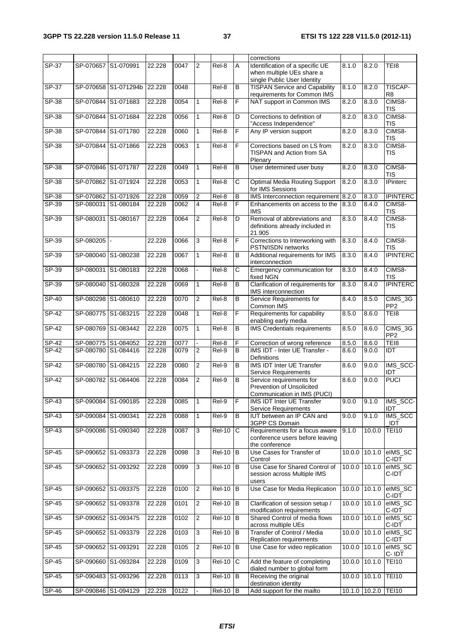|              |                     |                      |        |      |                |               |                | corrections                                                                                 |        |                     |                                          |
|--------------|---------------------|----------------------|--------|------|----------------|---------------|----------------|---------------------------------------------------------------------------------------------|--------|---------------------|------------------------------------------|
| SP-37        | SP-070657 S1-070991 |                      | 22.228 | 0047 | 2              | Rel-8         | A              | Identification of a specific UE<br>when multiple UEs share a<br>single Public User Identity | 8.1.0  | 8.2.0               | TEI8                                     |
| SP-37        |                     | SP-070658 S1-071294b | 22.228 | 0048 |                | Rel-8         | B              | <b>TISPAN Service and Capability</b><br>requirements for Common IMS                         | 8.1.0  | 8.2.0               | TISCAP-<br>R <sub>8</sub>                |
| SP-38        |                     | SP-070844 S1-071683  | 22.228 | 0054 | $\mathbf{1}$   | Rel-8         | F              | NAT support in Common IMS                                                                   | 8.2.0  | 8.3.0               | CIMS8-<br>TIS                            |
| SP-38        | SP-070844 S1-071684 |                      | 22.228 | 0056 | $\mathbf{1}$   | Rel-8         | D              | Corrections to definition of<br>"Access Independence"                                       | 8.2.0  | 8.3.0               | CIMS8-<br><b>TIS</b>                     |
| SP-38        | SP-070844 S1-071780 |                      | 22.228 | 0060 | $\mathbf{1}$   | Rel-8         | F              | Any IP version support                                                                      | 8.2.0  | 8.3.0               | CIMS8-<br><b>TIS</b>                     |
| $SP-38$      |                     | SP-070844 S1-071866  | 22.228 | 0063 | 1              | Rel-8         | F              | Corrections based on LS from<br>TISPAN and Action from SA<br>Plenary                        | 8.2.0  | 8.3.0               | CIMS8-<br>TIS                            |
| SP-38        | SP-070846 S1-071787 |                      | 22.228 | 0049 | $\mathbf{1}$   | Rel-8         | B              | User determined user busy                                                                   | 8.2.0  | 8.3.0               | CIMS8-<br><b>TIS</b>                     |
| SP-38        | SP-070862 S1-071924 |                      | 22.228 | 0053 | 1              | Rel-8         | C              | <b>Optimal Media Routing Support</b><br>for IMS Sessions                                    | 8.2.0  | 8.3.0               | <b>IPinterc</b>                          |
| SP-38        | SP-070862 S1-071926 |                      | 22.228 | 0059 | 2              | Rel-8         | B              | IMS Interconnection requirement 8.2.0                                                       |        | 8.3.0               | <b>IPINTERC</b>                          |
| $SP-39$      |                     | SP-080031 S1-080184  | 22.228 | 0062 | $\overline{4}$ | Rel-8         | F              | Enhancements on access to the                                                               | 8.3.0  | 8.4.0               | CIMS8-                                   |
|              |                     |                      |        |      |                |               |                | <b>IMS</b>                                                                                  |        |                     | <b>TIS</b>                               |
| $SP-39$      | SP-080031 S1-080167 |                      | 22.228 | 0064 | $\overline{2}$ | Rel-8         | D              | Removal of abbreviations and<br>definitions already included in<br>21.905                   | 8.3.0  | 8.4.0               | CIMS8-<br><b>TIS</b>                     |
| SP-39        | SP-080205           |                      | 22.228 | 0066 | 3              | Rel-8         | F              | Corrections to Interworking with<br>PSTN/ISDN networks                                      | 8.3.0  | 8.4.0               | CIMS8-<br><b>TIS</b>                     |
| $SP-39$      | SP-080040 S1-080238 |                      | 22.228 | 0067 | $\mathbf{1}$   | Rel-8         | B              | Additional requirements for IMS<br>interconnection                                          | 8.3.0  | 8.4.0               | <b>IPINTERC</b>                          |
| $SP-39$      |                     | SP-080031 S1-080183  | 22.228 | 0068 |                | Rel-8         | $\overline{C}$ | Emergency communication for<br>fixed NGN                                                    | 8.3.0  | 8.4.0               | CIMS8-<br>TIS                            |
| $SP-39$      | SP-080040 S1-080328 |                      | 22.228 | 0069 | 1              | Rel-8         | $\overline{B}$ | Clarification of requirements for<br>IMS interconnection                                    | 8.3.0  | 8.4.0               | <b>IPINTERC</b>                          |
| $SP-40$      | SP-080298 S1-080610 |                      | 22.228 | 0070 | $\overline{2}$ | $Rel-8$       | $\overline{B}$ | Service Requirements for<br>Common IMS                                                      | 8.4.0  | 8.5.0               | CIMS_3G<br>PP <sub>2</sub>               |
| $SP-42$      | SP-080775 S1-083215 |                      | 22.228 | 0048 | $\mathbf{1}$   | $Rel-8$       | $\overline{F}$ | Requirements for capability<br>enabling early media                                         | 8.5.0  | 8.6.0               | TE <sub>18</sub>                         |
| <b>SP-42</b> | SP-080769 S1-083442 |                      | 22.228 | 0075 | $\mathbf{1}$   | Rel-8         | B              | <b>IMS</b> Credentials requirements                                                         | 8.5.0  | 8.6.0               | $\overline{CIMS}\_3G$<br>PP <sub>2</sub> |
| SP-42        | SP-080775 S1-084052 |                      | 22.228 | 0077 |                | Rel-8         | F              | Correction of wrong reference                                                               | 8.5.0  | 8.6.0               | TEI8                                     |
| SP-42        | SP-080780 S1-084416 |                      | 22.228 | 0079 | 2              | Rel-9         | B              | IMS IDT - Inter UE Transfer -<br>Definitions                                                | 8.6.0  | 9.0.0               | <b>IDT</b>                               |
| $SP-42$      | SP-080780 S1-084215 |                      | 22.228 | 0080 | 2              | Rel-9         | B              | <b>IMS IDT Inter UE Transfer</b><br><b>Service Requirements</b>                             | 8.6.0  | 9.0.0               | IMS_SCC-<br>IDT                          |
| $SP-42$      | SP-080782 S1-084406 |                      | 22.228 | 0084 | 2              | Rel-9         | B              | Service requirements for<br>Prevention of Unsolicited<br>Communication in IMS (PUCI)        | 8.6.0  | 9.0.0               | <b>PUCI</b>                              |
| SP-43        | SP-090084 S1-090185 |                      | 22.228 | 0085 | $\mathbf{1}$   | Rel-9         | F              | <b>IMS IDT Inter UE Transfer</b><br><b>Service Requirements</b>                             | 9.0.0  | 9.1.0               | IMS_SCC-<br>IDT                          |
| $SP-43$      | SP-090084 S1-090341 |                      | 22.228 | 0088 | 1              | Rel-9         | B              | IUT between an IP CAN and<br>3GPP CS Domain                                                 | 9.0.0  | 9.1.0               | IMS_SCC<br>_IDT                          |
| SP-43        |                     | SP-090086 S1-090340  | 22.228 | 0087 | 3              | <b>Rel-10</b> | С              | Requirements for a focus aware<br>conference users before leaving<br>the conference         | 9.1.0  | 10.0.0              | <b>TEI10</b>                             |
| SP-45        |                     | SP-090652 S1-093373  | 22.228 | 0098 | 3              | <b>Rel-10</b> | B              | Use Cases for Transfer of<br>Control                                                        |        | 10.0.0 10.1.0       | elMS_SC<br>C-IDT                         |
| $S P - 45$   |                     | SP-090652 S1-093292  | 22.228 | 0099 | 3              | <b>Rel-10</b> | B              | Use Case for Shared Control of<br>session across Multiple IMS<br>users                      | 10.0.0 | 10.1.0              | elMS_SC<br>C-IDT                         |
| SP-45        |                     | SP-090652 S1-093375  | 22.228 | 0100 | 2              | <b>Rel-10</b> | B              | Use Case for Media Replication                                                              | 10.0.0 | 10.1.0              | elMS_SC<br>C-IDT                         |
| $SP-45$      |                     | SP-090652 S1-093378  | 22.228 | 0101 | 2              | Rel-10        | B              | Clarification of session setup /<br>modification requirements                               | 10.0.0 | 10.1.0              | eIMS_SC<br>C-IDT                         |
| SP-45        |                     | SP-090652 S1-093475  | 22.228 | 0102 | $\overline{c}$ | Rel-10        | $\, {\bf B}$   | Shared Control of media flows<br>across multiple UEs                                        | 10.0.0 | 10.1.0              | elMS_SC<br>C-IDT                         |
| SP-45        |                     | SP-090652 S1-093379  | 22.228 | 0103 | 3              | <b>Rel-10</b> | B              | Transfer of Control / Media<br>Replication requirements                                     |        | $10.0.0$ $10.1.0$   | elMS_SC<br>C-IDT                         |
| SP-45        | SP-090652 S1-093291 |                      | 22.228 | 0105 | $\overline{2}$ | <b>Rel-10</b> | $\, {\bf B}$   | Use Case for video replication                                                              | 10.0.0 | 10.1.0              | elMS_SC<br>C-IDT                         |
| SP-45        | SP-090660 S1-093284 |                      | 22.228 | 0109 | 3              | <b>Rel-10</b> | C              | Add the feature of completing<br>dialed number to global form                               | 10.0.0 | 10.1.0              | <b>TEI10</b>                             |
| SP-45        |                     | SP-090483 S1-093296  | 22.228 | 0113 | 3              | <b>Rel-10</b> | B              | Receiving the original<br>destination identity                                              |        | 10.0.0 10.1.0 TEI10 |                                          |
| SP-46        | SP-090846 S1-094129 |                      | 22.228 | 0122 |                | $Rel-10$ B    |                | Add support for the mailto                                                                  |        | 10.1.0 10.2.0 TEI10 |                                          |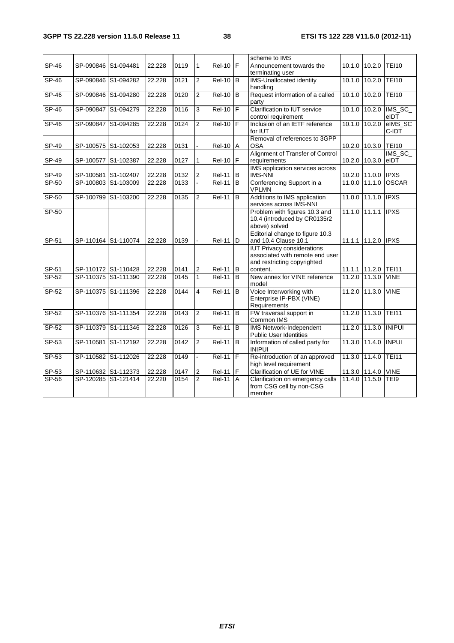|            |                     |        |      |                |                     |                | scheme to IMS                                                                                                   |                |                     |                  |
|------------|---------------------|--------|------|----------------|---------------------|----------------|-----------------------------------------------------------------------------------------------------------------|----------------|---------------------|------------------|
| $SP-46$    | SP-090846 S1-094481 | 22.228 | 0119 | $\mathbf{1}$   | $Rel-10$            |                | Announcement towards the<br>terminating user                                                                    | 10.1.0         | 10.2.0              | <b>TEI10</b>     |
| $SP-46$    | SP-090846 S1-094282 | 22.228 | 0121 | $\overline{2}$ | $Rel-10$ B          |                | <b>IMS-Unallocated identity</b><br>handling                                                                     | 10.1.0         | 10.2.0              | <b>TEI10</b>     |
| $SP-46$    | SP-090846 S1-094280 | 22.228 | 0120 | $\overline{2}$ | $ReI-10$ B          |                | Request information of a called<br>party                                                                        |                | 10.1.0 10.2.0       | <b>TEI10</b>     |
| $SP-46$    | SP-090847 S1-094279 | 22.228 | 0116 | 3              | $Rel-10$            |                | Clarification to IUT service<br>control requirement                                                             | 10.1.0         | 10.2.0              | IMS_SC_<br>eIDT  |
| SP-46      | SP-090847 S1-094285 | 22.228 | 0124 | $\overline{2}$ | $ReI-10$ F          |                | Inclusion of an IETF reference<br>for IUT                                                                       | 10.1.0         | 10.2.0              | eIMS_SC<br>C-IDT |
| SP-49      | SP-100575 S1-102053 | 22.228 | 0131 |                | $Rel-10$ $A$        |                | Removal of references to 3GPP<br><b>OSA</b>                                                                     |                | 10.2.0 10.3.0 TEI10 |                  |
| SP-49      | SP-100577 S1-102387 | 22.228 | 0127 | 1              | Rel-10   F          |                | Alignment of Transfer of Control<br>requirements                                                                | 10.2.0 10.3.0  |                     | IMS_SC_<br>leIDT |
| SP-49      | SP-100581 S1-102407 | 22.228 | 0132 | $\overline{2}$ | <b>Rel-11</b>       | IB.            | IMS application services across<br><b>IMS-NNI</b>                                                               | 10.2.0 11.0.0  |                     | <b>IPXS</b>      |
| $SP-50$    | SP-100803 S1-103009 | 22.228 | 0133 |                | <b>Rel-11</b>       | Iв             | Conferencing Support in a<br><b>VPLMN</b>                                                                       | 11.0.0         | 11.1.0              | <b>OSCAR</b>     |
| $SP-50$    | SP-100799 S1-103200 | 22.228 | 0135 | $\overline{2}$ | <b>Rel-11</b>       | B              | Additions to IMS application<br>services across IMS-NNI                                                         | 11.0.0 111.1.0 |                     | <b>IPXS</b>      |
| SP-50      |                     |        |      |                |                     |                | Problem with figures 10.3 and<br>10.4 (introduced by CR0135r2<br>above) solved                                  | 11.1.0         | $\overline{11.1.1}$ | <b>IPXS</b>      |
| SP-51      | SP-110164 S1-110074 | 22.228 | 0139 |                | $Rel-11$ D          |                | Editorial change to figure 10.3<br>and 10.4 Clause 10.1                                                         |                | 11.1.1 11.2.0 IPXS  |                  |
| SP-51      | SP-110172 S1-110428 | 22.228 | 0141 | 2              | $Rel-11$ $B$        |                | <b>IUT Privacy considerations</b><br>associated with remote end user<br>and restricting copyrighted<br>content. |                | 11.1.1 11.2.0 TEI11 |                  |
| SP-52      | SP-110375 S1-111390 | 22.228 | 0145 | $\mathbf{1}$   | $\overline{Rel-11}$ | <b>IB</b>      | New annex for VINE reference<br>model                                                                           | 11.2.0 11.3.0  |                     | <b>VINE</b>      |
| $SP-52$    | SP-110375 S1-111396 | 22.228 | 0144 | $\overline{4}$ | $ReI-11$ B          |                | Voice Interworking with<br>Enterprise IP-PBX (VINE)<br>Requirements                                             | 11.2.0         | 11.3.0              | <b>VINE</b>      |
| $SP-52$    | SP-110376 S1-111354 | 22.228 | 0143 | $\overline{2}$ | $Rel-11$            | B              | FW traversal support in<br>Common IMS                                                                           | 11.2.0         | 11.3.0              | <b>TEI11</b>     |
| $SP-52$    | SP-110379 S1-111346 | 22.228 | 0126 | 3              | $Rel-11$            | B              | <b>IMS Network-Independent</b><br><b>Public User Identities</b>                                                 | 11.2.0 11.3.0  |                     | <b>INIPUI</b>    |
| $S P - 53$ | SP-110581 S1-112192 | 22.228 | 0142 | $\overline{2}$ | <b>Rel-11</b>       | $\overline{B}$ | Information of called party for<br><b>INIPUI</b>                                                                | 11.3.0         | 11.4.0              | <b>INPUI</b>     |
| $SP-53$    | SP-110582 S1-112026 | 22.228 | 0149 |                | $Rel-11$ $F$        |                | Re-introduction of an approved<br>high level requirement                                                        | 11.3.0         | 11.4.0              | <b>TEI11</b>     |
| SP-53      | SP-110632 S1-112373 | 22.228 | 0147 | $\overline{2}$ | $\overline{Rel-11}$ | F              | Clarification of UE for VINE                                                                                    | 11.3.0 11.4.0  |                     | <b>VINE</b>      |
| SP-56      | SP-120285 S1-121414 | 22.220 | 0154 | $\overline{2}$ | <b>Rel-11</b>       | $\overline{A}$ | Clarification on emergency calls<br>from CSG cell by non-CSG<br>member                                          |                | 11.4.0 11.5.0 TEI9  |                  |
|            |                     |        |      |                |                     |                |                                                                                                                 |                |                     |                  |